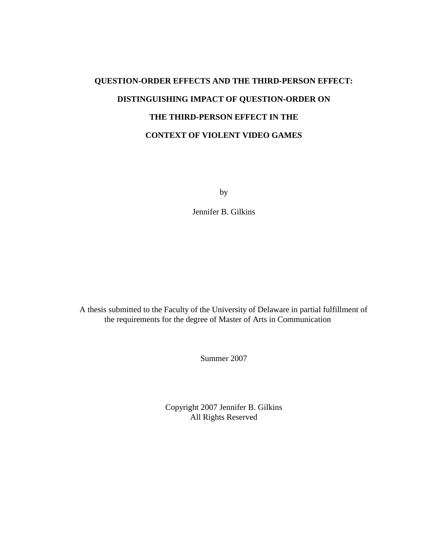# **QUESTION-ORDER EFFECTS AND THE THIRD-PERSON EFFECT: DISTINGUISHING IMPACT OF QUESTION-ORDER ON THE THIRD-PERSON EFFECT IN THE CONTEXT OF VIOLENT VIDEO GAMES**

by

Jennifer B. Gilkins

A thesis submitted to the Faculty of the University of Delaware in partial fulfillment of the requirements for the degree of Master of Arts in Communication

Summer 2007

Copyright 2007 Jennifer B. Gilkins All Rights Reserved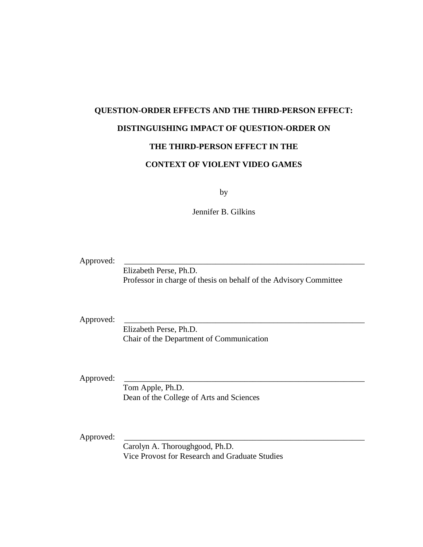# **QUESTION-ORDER EFFECTS AND THE THIRD-PERSON EFFECT: DISTINGUISHING IMPACT OF QUESTION-ORDER ON THE THIRD-PERSON EFFECT IN THE**

# **CONTEXT OF VIOLENT VIDEO GAMES**

by

Jennifer B. Gilkins

Approved:

Elizabeth Perse, Ph.D. Professor in charge of thesis on behalf of the Advisory Committee

Approved:

Elizabeth Perse, Ph.D. Chair of the Department of Communication

Approved:

Tom Apple, Ph.D. Dean of the College of Arts and Sciences

Approved:

Carolyn A. Thoroughgood, Ph.D. Vice Provost for Research and Graduate Studies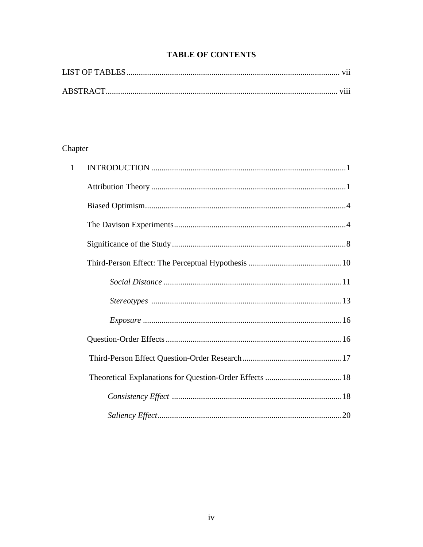# **TABLE OF CONTENTS**

| $\cdots$ |
|----------|

# Chapter

| 1 |  |
|---|--|
|   |  |
|   |  |
|   |  |
|   |  |
|   |  |
|   |  |
|   |  |
|   |  |
|   |  |
|   |  |
|   |  |
|   |  |
|   |  |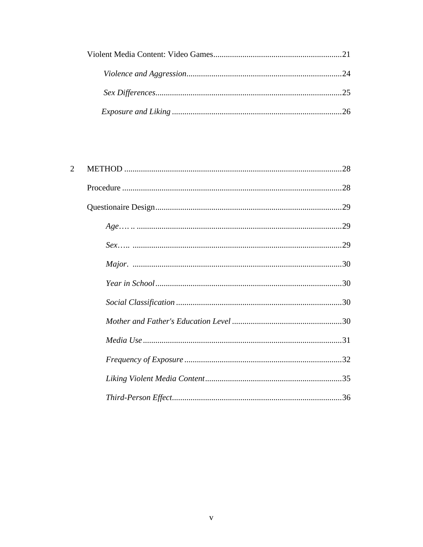$\overline{c}$ 

| $Age \dots 129$ |  |
|-----------------|--|
|                 |  |
|                 |  |
|                 |  |
|                 |  |
|                 |  |
|                 |  |
|                 |  |
|                 |  |
|                 |  |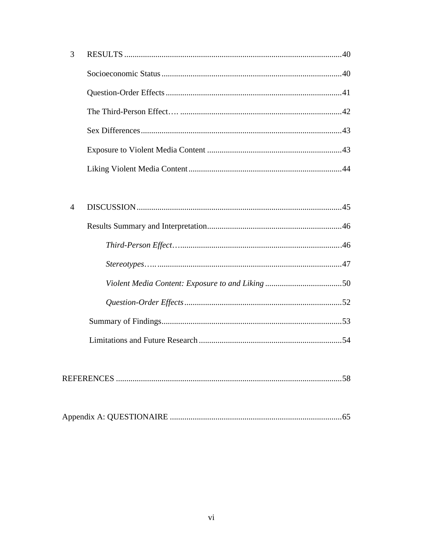| 3 |  |
|---|--|
|   |  |
|   |  |
|   |  |
|   |  |
|   |  |
|   |  |

| 4 |  |
|---|--|
|   |  |
|   |  |
|   |  |
|   |  |
|   |  |
|   |  |
|   |  |

|--|

|--|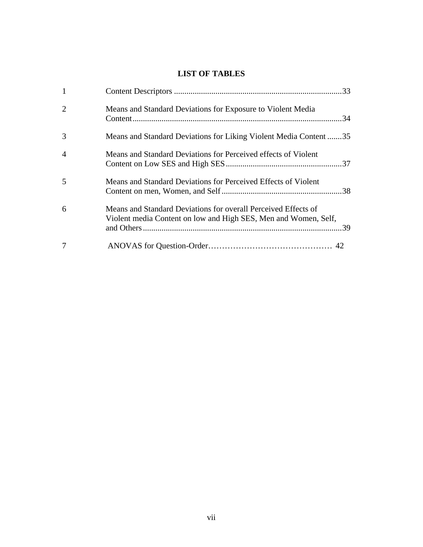# **LIST OF TABLES**

| $\mathbf{1}$   |                                                                                                                                          |
|----------------|------------------------------------------------------------------------------------------------------------------------------------------|
| 2              | Means and Standard Deviations for Exposure to Violent Media<br>.34                                                                       |
| 3              | Means and Standard Deviations for Liking Violent Media Content35                                                                         |
| $\overline{A}$ | Means and Standard Deviations for Perceived effects of Violent                                                                           |
| 5              | Means and Standard Deviations for Perceived Effects of Violent                                                                           |
| 6              | Means and Standard Deviations for overall Perceived Effects of<br>Violent media Content on low and High SES, Men and Women, Self,<br>.39 |
| 7              |                                                                                                                                          |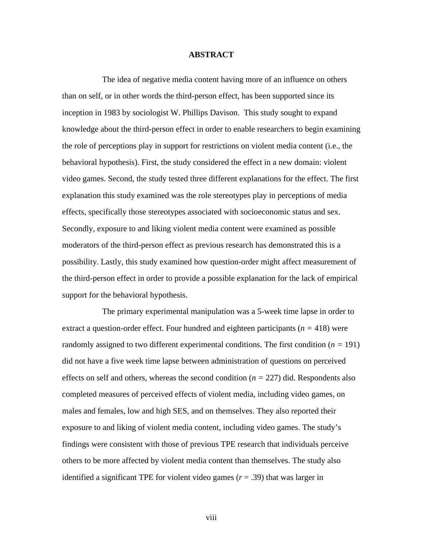#### **ABSTRACT**

The idea of negative media content having more of an influence on others than on self, or in other words the third-person effect, has been supported since its inception in 1983 by sociologist W. Phillips Davison. This study sought to expand knowledge about the third-person effect in order to enable researchers to begin examining the role of perceptions play in support for restrictions on violent media content (i.e., the behavioral hypothesis). First, the study considered the effect in a new domain: violent video games. Second, the study tested three different explanations for the effect. The first explanation this study examined was the role stereotypes play in perceptions of media effects, specifically those stereotypes associated with socioeconomic status and sex. Secondly, exposure to and liking violent media content were examined as possible moderators of the third-person effect as previous research has demonstrated this is a possibility. Lastly, this study examined how question-order might affect measurement of the third-person effect in order to provide a possible explanation for the lack of empirical support for the behavioral hypothesis.

The primary experimental manipulation was a 5-week time lapse in order to extract a question-order effect. Four hundred and eighteen participants (*n =* 418) were randomly assigned to two different experimental conditions. The first condition (*n =* 191) did not have a five week time lapse between administration of questions on perceived effects on self and others, whereas the second condition (*n =* 227) did. Respondents also completed measures of perceived effects of violent media, including video games, on males and females, low and high SES, and on themselves. They also reported their exposure to and liking of violent media content, including video games. The study's findings were consistent with those of previous TPE research that individuals perceive others to be more affected by violent media content than themselves. The study also identified a significant TPE for violent video games (*r* = .39) that was larger in

viii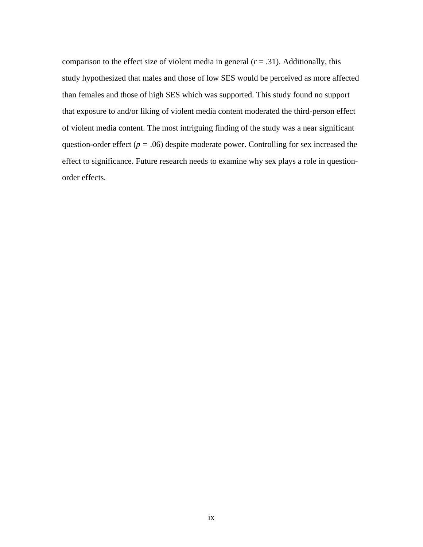comparison to the effect size of violent media in general  $(r = .31)$ . Additionally, this study hypothesized that males and those of low SES would be perceived as more affected than females and those of high SES which was supported. This study found no support that exposure to and/or liking of violent media content moderated the third-person effect of violent media content. The most intriguing finding of the study was a near significant question-order effect ( $p = .06$ ) despite moderate power. Controlling for sex increased the effect to significance. Future research needs to examine why sex plays a role in questionorder effects.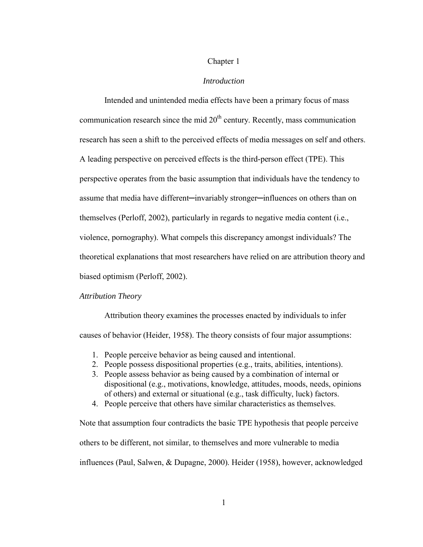#### Chapter 1

#### *Introduction*

Intended and unintended media effects have been a primary focus of mass communication research since the mid  $20<sup>th</sup>$  century. Recently, mass communication research has seen a shift to the perceived effects of media messages on self and others. A leading perspective on perceived effects is the third-person effect (TPE). This perspective operates from the basic assumption that individuals have the tendency to assume that media have different─invariably stronger─influences on others than on themselves (Perloff, 2002), particularly in regards to negative media content (i.e., violence, pornography). What compels this discrepancy amongst individuals? The theoretical explanations that most researchers have relied on are attribution theory and biased optimism (Perloff, 2002).

# *Attribution Theory*

Attribution theory examines the processes enacted by individuals to infer causes of behavior (Heider, 1958). The theory consists of four major assumptions:

- 1. People perceive behavior as being caused and intentional.
- 2. People possess dispositional properties (e.g., traits, abilities, intentions).
- 3. People assess behavior as being caused by a combination of internal or dispositional (e.g., motivations, knowledge, attitudes, moods, needs, opinions of others) and external or situational (e.g., task difficulty, luck) factors.
- 4. People perceive that others have similar characteristics as themselves.

Note that assumption four contradicts the basic TPE hypothesis that people perceive others to be different, not similar, to themselves and more vulnerable to media influences (Paul, Salwen, & Dupagne, 2000). Heider (1958), however, acknowledged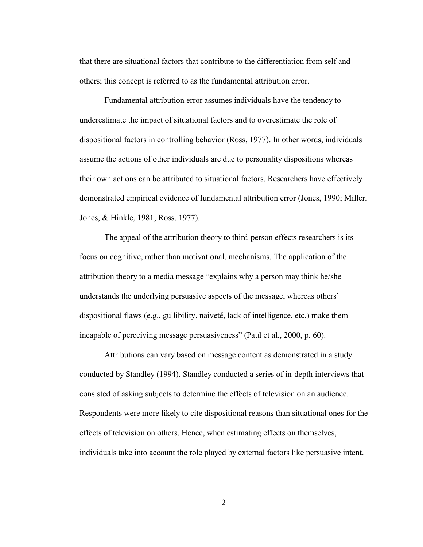that there are situational factors that contribute to the differentiation from self and others; this concept is referred to as the fundamental attribution error.

Fundamental attribution error assumes individuals have the tendency to underestimate the impact of situational factors and to overestimate the role of dispositional factors in controlling behavior (Ross, 1977). In other words, individuals assume the actions of other individuals are due to personality dispositions whereas their own actions can be attributed to situational factors. Researchers have effectively demonstrated empirical evidence of fundamental attribution error (Jones, 1990; Miller, Jones, & Hinkle, 1981; Ross, 1977).

The appeal of the attribution theory to third-person effects researchers is its focus on cognitive, rather than motivational, mechanisms. The application of the attribution theory to a media message "explains why a person may think he/she understands the underlying persuasive aspects of the message, whereas others' dispositional flaws (e.g., gullibility, naiveté, lack of intelligence, etc.) make them incapable of perceiving message persuasiveness" (Paul et al., 2000, p. 60).

Attributions can vary based on message content as demonstrated in a study conducted by Standley (1994). Standley conducted a series of in-depth interviews that consisted of asking subjects to determine the effects of television on an audience. Respondents were more likely to cite dispositional reasons than situational ones for the effects of television on others. Hence, when estimating effects on themselves, individuals take into account the role played by external factors like persuasive intent.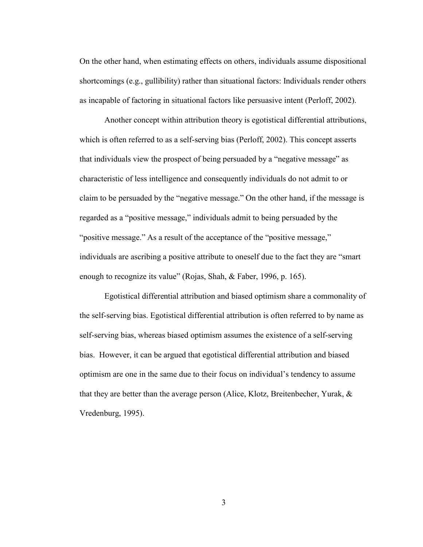On the other hand, when estimating effects on others, individuals assume dispositional shortcomings (e.g., gullibility) rather than situational factors: Individuals render others as incapable of factoring in situational factors like persuasive intent (Perloff, 2002).

Another concept within attribution theory is egotistical differential attributions, which is often referred to as a self-serving bias (Perloff, 2002). This concept asserts that individuals view the prospect of being persuaded by a "negative message" as characteristic of less intelligence and consequently individuals do not admit to or claim to be persuaded by the "negative message." On the other hand, if the message is regarded as a "positive message," individuals admit to being persuaded by the "positive message." As a result of the acceptance of the "positive message," individuals are ascribing a positive attribute to oneself due to the fact they are "smart enough to recognize its value" (Rojas, Shah, & Faber, 1996, p. 165).

Egotistical differential attribution and biased optimism share a commonality of the self-serving bias. Egotistical differential attribution is often referred to by name as self-serving bias, whereas biased optimism assumes the existence of a self-serving bias. However, it can be argued that egotistical differential attribution and biased optimism are one in the same due to their focus on individual's tendency to assume that they are better than the average person (Alice, Klotz, Breitenbecher, Yurak, & Vredenburg, 1995).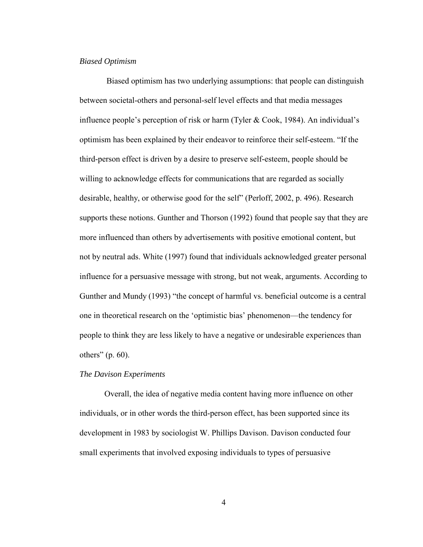# *Biased Optimism*

 Biased optimism has two underlying assumptions: that people can distinguish between societal-others and personal-self level effects and that media messages influence people's perception of risk or harm (Tyler & Cook, 1984). An individual's optimism has been explained by their endeavor to reinforce their self-esteem. "If the third-person effect is driven by a desire to preserve self-esteem, people should be willing to acknowledge effects for communications that are regarded as socially desirable, healthy, or otherwise good for the self" (Perloff, 2002, p. 496). Research supports these notions. Gunther and Thorson (1992) found that people say that they are more influenced than others by advertisements with positive emotional content, but not by neutral ads. White (1997) found that individuals acknowledged greater personal influence for a persuasive message with strong, but not weak, arguments. According to Gunther and Mundy (1993) "the concept of harmful vs. beneficial outcome is a central one in theoretical research on the 'optimistic bias' phenomenon—the tendency for people to think they are less likely to have a negative or undesirable experiences than others" (p. 60).

#### *The Davison Experiments*

Overall, the idea of negative media content having more influence on other individuals, or in other words the third-person effect, has been supported since its development in 1983 by sociologist W. Phillips Davison. Davison conducted four small experiments that involved exposing individuals to types of persuasive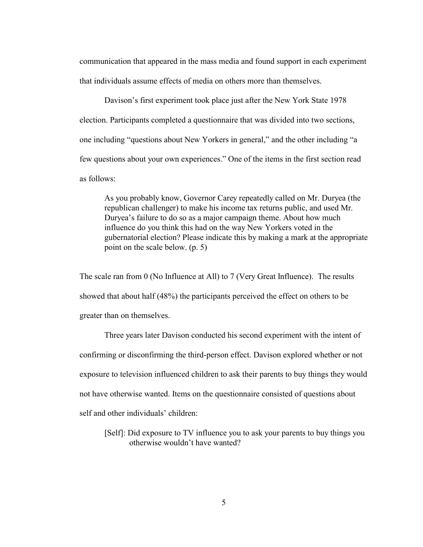communication that appeared in the mass media and found support in each experiment that individuals assume effects of media on others more than themselves.

Davison's first experiment took place just after the New York State 1978 election. Participants completed a questionnaire that was divided into two sections, one including "questions about New Yorkers in general," and the other including "a few questions about your own experiences." One of the items in the first section read as follows:

As you probably know, Governor Carey repeatedly called on Mr. Duryea (the republican challenger) to make his income tax returns public, and used Mr. Duryea's failure to do so as a major campaign theme. About how much influence do you think this had on the way New Yorkers voted in the gubernatorial election? Please indicate this by making a mark at the appropriate point on the scale below. (p. 5)

The scale ran from 0 (No Influence at All) to 7 (Very Great Influence). The results showed that about half (48%) the participants perceived the effect on others to be greater than on themselves.

Three years later Davison conducted his second experiment with the intent of confirming or disconfirming the third-person effect. Davison explored whether or not exposure to television influenced children to ask their parents to buy things they would not have otherwise wanted. Items on the questionnaire consisted of questions about self and other individuals' children:

[Self]: Did exposure to TV influence you to ask your parents to buy things you otherwise wouldn't have wanted?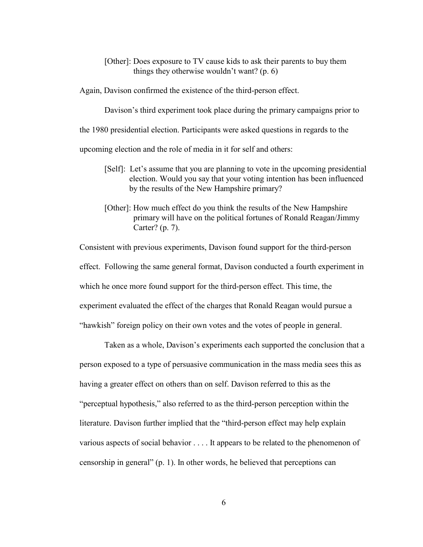[Other]: Does exposure to TV cause kids to ask their parents to buy them things they otherwise wouldn't want? (p. 6)

Again, Davison confirmed the existence of the third-person effect.

Davison's third experiment took place during the primary campaigns prior to

the 1980 presidential election. Participants were asked questions in regards to the

upcoming election and the role of media in it for self and others:

- [Self]: Let's assume that you are planning to vote in the upcoming presidential election. Would you say that your voting intention has been influenced by the results of the New Hampshire primary?
- [Other]: How much effect do you think the results of the New Hampshire primary will have on the political fortunes of Ronald Reagan/Jimmy Carter? (p. 7).

Consistent with previous experiments, Davison found support for the third-person effect. Following the same general format, Davison conducted a fourth experiment in which he once more found support for the third-person effect. This time, the experiment evaluated the effect of the charges that Ronald Reagan would pursue a "hawkish" foreign policy on their own votes and the votes of people in general.

Taken as a whole, Davison's experiments each supported the conclusion that a person exposed to a type of persuasive communication in the mass media sees this as having a greater effect on others than on self. Davison referred to this as the "perceptual hypothesis," also referred to as the third-person perception within the literature. Davison further implied that the "third-person effect may help explain various aspects of social behavior . . . . It appears to be related to the phenomenon of censorship in general" (p. 1). In other words, he believed that perceptions can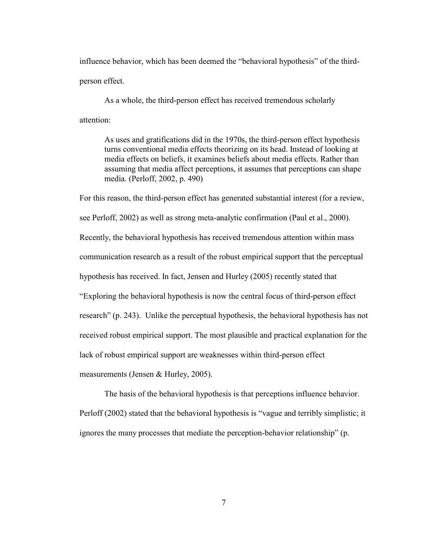influence behavior, which has been deemed the "behavioral hypothesis" of the thirdperson effect.

As a whole, the third-person effect has received tremendous scholarly attention:

As uses and gratifications did in the 1970s, the third-person effect hypothesis turns conventional media effects theorizing on its head. Instead of looking at media effects on beliefs, it examines beliefs about media effects. Rather than assuming that media affect perceptions, it assumes that perceptions can shape media. (Perloff, 2002, p. 490)

For this reason, the third-person effect has generated substantial interest (for a review, see Perloff, 2002) as well as strong meta-analytic confirmation (Paul et al., 2000). Recently, the behavioral hypothesis has received tremendous attention within mass communication research as a result of the robust empirical support that the perceptual hypothesis has received. In fact, Jensen and Hurley (2005) recently stated that "Exploring the behavioral hypothesis is now the central focus of third-person effect research" (p. 243). Unlike the perceptual hypothesis, the behavioral hypothesis has not received robust empirical support. The most plausible and practical explanation for the lack of robust empirical support are weaknesses within third-person effect measurements (Jensen & Hurley, 2005).

The basis of the behavioral hypothesis is that perceptions influence behavior. Perloff (2002) stated that the behavioral hypothesis is "vague and terribly simplistic; it ignores the many processes that mediate the perception-behavior relationship" (p.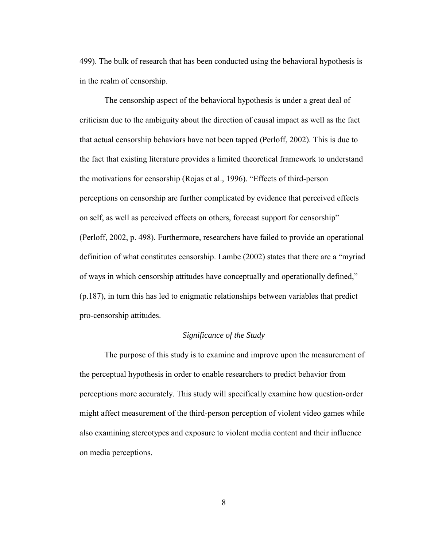499). The bulk of research that has been conducted using the behavioral hypothesis is in the realm of censorship.

The censorship aspect of the behavioral hypothesis is under a great deal of criticism due to the ambiguity about the direction of causal impact as well as the fact that actual censorship behaviors have not been tapped (Perloff, 2002). This is due to the fact that existing literature provides a limited theoretical framework to understand the motivations for censorship (Rojas et al., 1996). "Effects of third-person perceptions on censorship are further complicated by evidence that perceived effects on self, as well as perceived effects on others, forecast support for censorship" (Perloff, 2002, p. 498). Furthermore, researchers have failed to provide an operational definition of what constitutes censorship. Lambe (2002) states that there are a "myriad of ways in which censorship attitudes have conceptually and operationally defined," (p.187), in turn this has led to enigmatic relationships between variables that predict pro-censorship attitudes.

#### *Significance of the Study*

The purpose of this study is to examine and improve upon the measurement of the perceptual hypothesis in order to enable researchers to predict behavior from perceptions more accurately. This study will specifically examine how question-order might affect measurement of the third-person perception of violent video games while also examining stereotypes and exposure to violent media content and their influence on media perceptions.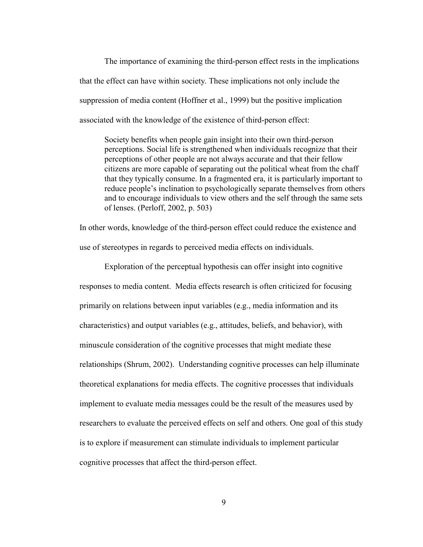The importance of examining the third-person effect rests in the implications that the effect can have within society. These implications not only include the suppression of media content (Hoffner et al., 1999) but the positive implication associated with the knowledge of the existence of third-person effect:

Society benefits when people gain insight into their own third-person perceptions. Social life is strengthened when individuals recognize that their perceptions of other people are not always accurate and that their fellow citizens are more capable of separating out the political wheat from the chaff that they typically consume. In a fragmented era, it is particularly important to reduce people's inclination to psychologically separate themselves from others and to encourage individuals to view others and the self through the same sets of lenses. (Perloff, 2002, p. 503)

In other words, knowledge of the third-person effect could reduce the existence and use of stereotypes in regards to perceived media effects on individuals.

Exploration of the perceptual hypothesis can offer insight into cognitive responses to media content. Media effects research is often criticized for focusing primarily on relations between input variables (e.g., media information and its characteristics) and output variables (e.g., attitudes, beliefs, and behavior), with minuscule consideration of the cognitive processes that might mediate these relationships (Shrum, 2002). Understanding cognitive processes can help illuminate theoretical explanations for media effects. The cognitive processes that individuals implement to evaluate media messages could be the result of the measures used by researchers to evaluate the perceived effects on self and others. One goal of this study is to explore if measurement can stimulate individuals to implement particular cognitive processes that affect the third-person effect.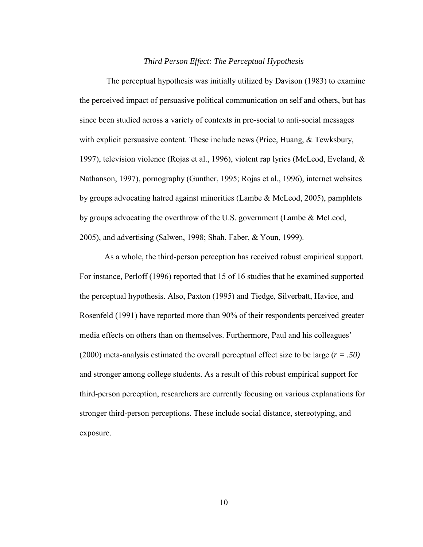# *Third Person Effect: The Perceptual Hypothesis*

 The perceptual hypothesis was initially utilized by Davison (1983) to examine the perceived impact of persuasive political communication on self and others, but has since been studied across a variety of contexts in pro-social to anti-social messages with explicit persuasive content. These include news (Price, Huang, & Tewksbury, 1997), television violence (Rojas et al., 1996), violent rap lyrics (McLeod, Eveland, & Nathanson, 1997), pornography (Gunther, 1995; Rojas et al., 1996), internet websites by groups advocating hatred against minorities (Lambe & McLeod, 2005), pamphlets by groups advocating the overthrow of the U.S. government (Lambe & McLeod, 2005), and advertising (Salwen, 1998; Shah, Faber, & Youn, 1999).

As a whole, the third-person perception has received robust empirical support. For instance, Perloff (1996) reported that 15 of 16 studies that he examined supported the perceptual hypothesis. Also, Paxton (1995) and Tiedge, Silverbatt, Havice, and Rosenfeld (1991) have reported more than 90% of their respondents perceived greater media effects on others than on themselves. Furthermore, Paul and his colleagues' (2000) meta-analysis estimated the overall perceptual effect size to be large (*r = .50)* and stronger among college students. As a result of this robust empirical support for third-person perception, researchers are currently focusing on various explanations for stronger third-person perceptions. These include social distance, stereotyping, and exposure.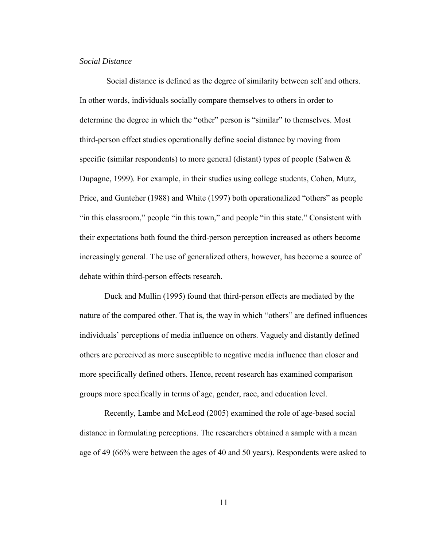# *Social Distance*

Social distance is defined as the degree of similarity between self and others. In other words, individuals socially compare themselves to others in order to determine the degree in which the "other" person is "similar" to themselves. Most third-person effect studies operationally define social distance by moving from specific (similar respondents) to more general (distant) types of people (Salwen & Dupagne, 1999). For example, in their studies using college students, Cohen, Mutz, Price, and Gunteher (1988) and White (1997) both operationalized "others" as people "in this classroom," people "in this town," and people "in this state." Consistent with their expectations both found the third-person perception increased as others become increasingly general. The use of generalized others, however, has become a source of debate within third-person effects research.

Duck and Mullin (1995) found that third-person effects are mediated by the nature of the compared other. That is, the way in which "others" are defined influences individuals' perceptions of media influence on others. Vaguely and distantly defined others are perceived as more susceptible to negative media influence than closer and more specifically defined others. Hence, recent research has examined comparison groups more specifically in terms of age, gender, race, and education level.

Recently, Lambe and McLeod (2005) examined the role of age-based social distance in formulating perceptions. The researchers obtained a sample with a mean age of 49 (66% were between the ages of 40 and 50 years). Respondents were asked to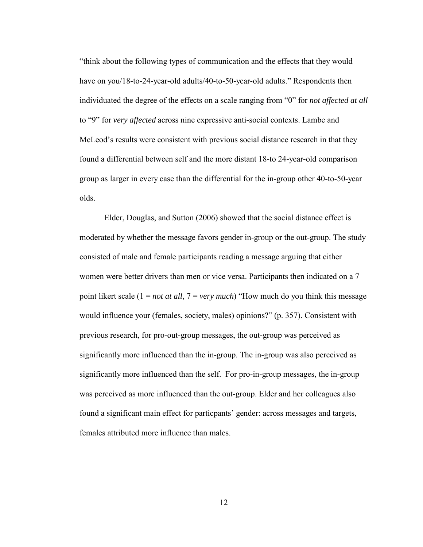"think about the following types of communication and the effects that they would have on you/18-to-24-year-old adults/40-to-50-year-old adults." Respondents then individuated the degree of the effects on a scale ranging from "0" for *not affected at all* to "9" for *very affected* across nine expressive anti-social contexts. Lambe and McLeod's results were consistent with previous social distance research in that they found a differential between self and the more distant 18-to 24-year-old comparison group as larger in every case than the differential for the in-group other 40-to-50-year olds.

Elder, Douglas, and Sutton (2006) showed that the social distance effect is moderated by whether the message favors gender in-group or the out-group. The study consisted of male and female participants reading a message arguing that either women were better drivers than men or vice versa. Participants then indicated on a 7 point likert scale (1 = *not at all*, 7 = *very much*) "How much do you think this message would influence your (females, society, males) opinions?" (p. 357). Consistent with previous research, for pro-out-group messages, the out-group was perceived as significantly more influenced than the in-group. The in-group was also perceived as significantly more influenced than the self. For pro-in-group messages, the in-group was perceived as more influenced than the out-group. Elder and her colleagues also found a significant main effect for particpants' gender: across messages and targets, females attributed more influence than males.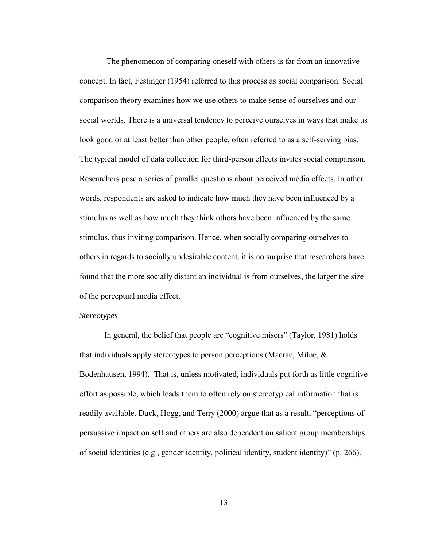The phenomenon of comparing oneself with others is far from an innovative concept. In fact, Festinger (1954) referred to this process as social comparison. Social comparison theory examines how we use others to make sense of ourselves and our social worlds. There is a universal tendency to perceive ourselves in ways that make us look good or at least better than other people, often referred to as a self-serving bias. The typical model of data collection for third-person effects invites social comparison. Researchers pose a series of parallel questions about perceived media effects. In other words, respondents are asked to indicate how much they have been influenced by a stimulus as well as how much they think others have been influenced by the same stimulus, thus inviting comparison. Hence, when socially comparing ourselves to others in regards to socially undesirable content, it is no surprise that researchers have found that the more socially distant an individual is from ourselves, the larger the size of the perceptual media effect.

### *Stereotypes*

In general, the belief that people are "cognitive misers" (Taylor, 1981) holds that individuals apply stereotypes to person perceptions (Macrae, Milne, & Bodenhausen, 1994). That is, unless motivated, individuals put forth as little cognitive effort as possible, which leads them to often rely on stereotypical information that is readily available. Duck, Hogg, and Terry (2000) argue that as a result, "perceptions of persuasive impact on self and others are also dependent on salient group memberships of social identities (e.g., gender identity, political identity, student identity)" (p. 266).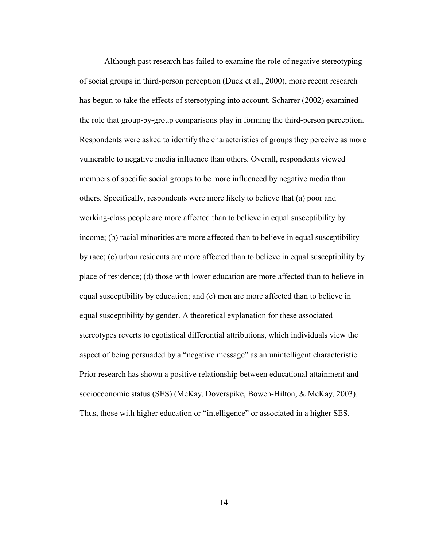Although past research has failed to examine the role of negative stereotyping of social groups in third-person perception (Duck et al., 2000), more recent research has begun to take the effects of stereotyping into account. Scharrer (2002) examined the role that group-by-group comparisons play in forming the third-person perception. Respondents were asked to identify the characteristics of groups they perceive as more vulnerable to negative media influence than others. Overall, respondents viewed members of specific social groups to be more influenced by negative media than others. Specifically, respondents were more likely to believe that (a) poor and working-class people are more affected than to believe in equal susceptibility by income; (b) racial minorities are more affected than to believe in equal susceptibility by race; (c) urban residents are more affected than to believe in equal susceptibility by place of residence; (d) those with lower education are more affected than to believe in equal susceptibility by education; and (e) men are more affected than to believe in equal susceptibility by gender. A theoretical explanation for these associated stereotypes reverts to egotistical differential attributions, which individuals view the aspect of being persuaded by a "negative message" as an unintelligent characteristic. Prior research has shown a positive relationship between educational attainment and socioeconomic status (SES) (McKay, Doverspike, Bowen-Hilton, & McKay, 2003). Thus, those with higher education or "intelligence" or associated in a higher SES.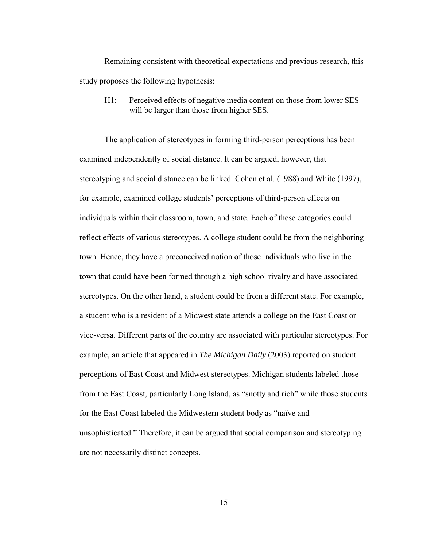Remaining consistent with theoretical expectations and previous research, this study proposes the following hypothesis:

H1: Perceived effects of negative media content on those from lower SES will be larger than those from higher SES.

The application of stereotypes in forming third-person perceptions has been examined independently of social distance. It can be argued, however, that stereotyping and social distance can be linked. Cohen et al. (1988) and White (1997), for example, examined college students' perceptions of third-person effects on individuals within their classroom, town, and state. Each of these categories could reflect effects of various stereotypes. A college student could be from the neighboring town. Hence, they have a preconceived notion of those individuals who live in the town that could have been formed through a high school rivalry and have associated stereotypes. On the other hand, a student could be from a different state. For example, a student who is a resident of a Midwest state attends a college on the East Coast or vice-versa. Different parts of the country are associated with particular stereotypes. For example, an article that appeared in *The Michigan Daily* (2003) reported on student perceptions of East Coast and Midwest stereotypes. Michigan students labeled those from the East Coast, particularly Long Island, as "snotty and rich" while those students for the East Coast labeled the Midwestern student body as "naïve and unsophisticated." Therefore, it can be argued that social comparison and stereotyping are not necessarily distinct concepts.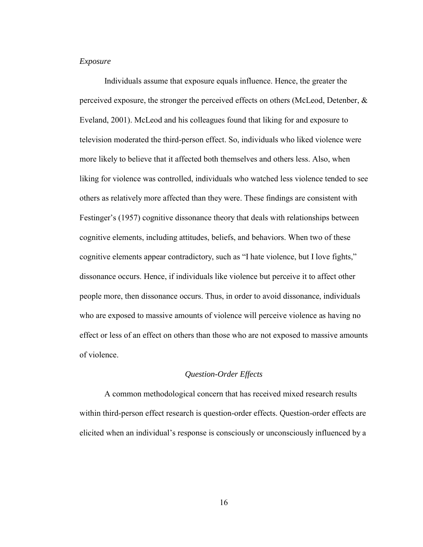#### *Exposure*

Individuals assume that exposure equals influence. Hence, the greater the perceived exposure, the stronger the perceived effects on others (McLeod, Detenber, & Eveland, 2001). McLeod and his colleagues found that liking for and exposure to television moderated the third-person effect. So, individuals who liked violence were more likely to believe that it affected both themselves and others less. Also, when liking for violence was controlled, individuals who watched less violence tended to see others as relatively more affected than they were. These findings are consistent with Festinger's (1957) cognitive dissonance theory that deals with relationships between cognitive elements, including attitudes, beliefs, and behaviors. When two of these cognitive elements appear contradictory, such as "I hate violence, but I love fights," dissonance occurs. Hence, if individuals like violence but perceive it to affect other people more, then dissonance occurs. Thus, in order to avoid dissonance, individuals who are exposed to massive amounts of violence will perceive violence as having no effect or less of an effect on others than those who are not exposed to massive amounts of violence.

### *Question-Order Effects*

A common methodological concern that has received mixed research results within third-person effect research is question-order effects. Question-order effects are elicited when an individual's response is consciously or unconsciously influenced by a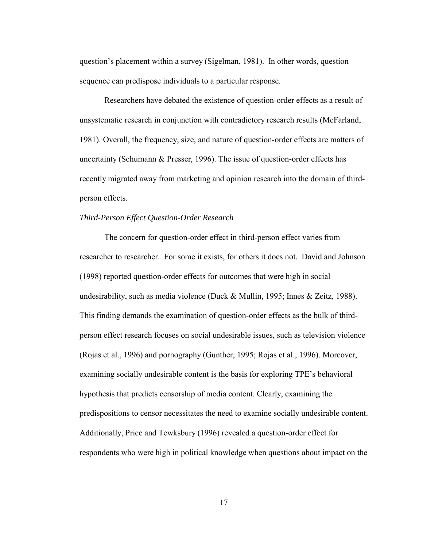question's placement within a survey (Sigelman, 1981). In other words, question sequence can predispose individuals to a particular response.

Researchers have debated the existence of question-order effects as a result of unsystematic research in conjunction with contradictory research results (McFarland, 1981). Overall, the frequency, size, and nature of question-order effects are matters of uncertainty (Schumann & Presser, 1996). The issue of question-order effects has recently migrated away from marketing and opinion research into the domain of thirdperson effects.

# *Third-Person Effect Question-Order Research*

The concern for question-order effect in third-person effect varies from researcher to researcher. For some it exists, for others it does not. David and Johnson (1998) reported question-order effects for outcomes that were high in social undesirability, such as media violence (Duck & Mullin, 1995; Innes & Zeitz, 1988). This finding demands the examination of question-order effects as the bulk of thirdperson effect research focuses on social undesirable issues, such as television violence (Rojas et al., 1996) and pornography (Gunther, 1995; Rojas et al., 1996). Moreover, examining socially undesirable content is the basis for exploring TPE's behavioral hypothesis that predicts censorship of media content. Clearly, examining the predispositions to censor necessitates the need to examine socially undesirable content. Additionally, Price and Tewksbury (1996) revealed a question-order effect for respondents who were high in political knowledge when questions about impact on the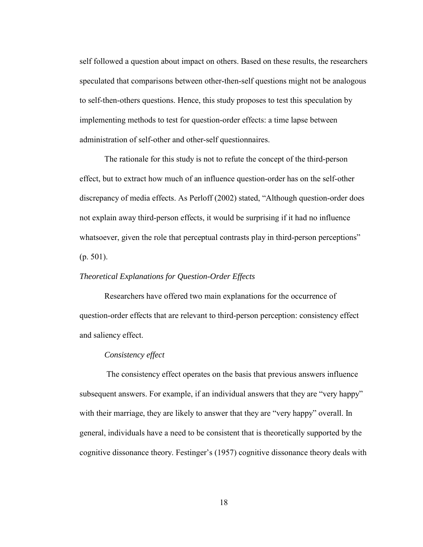self followed a question about impact on others. Based on these results, the researchers speculated that comparisons between other-then-self questions might not be analogous to self-then-others questions. Hence, this study proposes to test this speculation by implementing methods to test for question-order effects: a time lapse between administration of self-other and other-self questionnaires.

The rationale for this study is not to refute the concept of the third-person effect, but to extract how much of an influence question-order has on the self-other discrepancy of media effects. As Perloff (2002) stated, "Although question-order does not explain away third-person effects, it would be surprising if it had no influence whatsoever, given the role that perceptual contrasts play in third-person perceptions" (p. 501).

# *Theoretical Explanations for Question-Order Effects*

Researchers have offered two main explanations for the occurrence of question-order effects that are relevant to third-person perception: consistency effect and saliency effect.

# *Consistency effect*

The consistency effect operates on the basis that previous answers influence subsequent answers. For example, if an individual answers that they are "very happy" with their marriage, they are likely to answer that they are "very happy" overall. In general, individuals have a need to be consistent that is theoretically supported by the cognitive dissonance theory. Festinger's (1957) cognitive dissonance theory deals with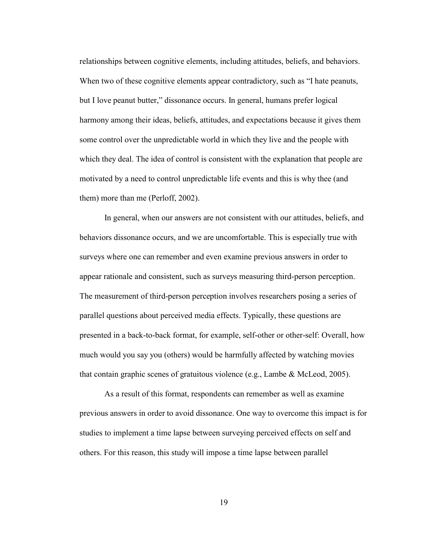relationships between cognitive elements, including attitudes, beliefs, and behaviors. When two of these cognitive elements appear contradictory, such as "I hate peanuts, but I love peanut butter," dissonance occurs. In general, humans prefer logical harmony among their ideas, beliefs, attitudes, and expectations because it gives them some control over the unpredictable world in which they live and the people with which they deal. The idea of control is consistent with the explanation that people are motivated by a need to control unpredictable life events and this is why thee (and them) more than me (Perloff, 2002).

In general, when our answers are not consistent with our attitudes, beliefs, and behaviors dissonance occurs, and we are uncomfortable. This is especially true with surveys where one can remember and even examine previous answers in order to appear rationale and consistent, such as surveys measuring third-person perception. The measurement of third-person perception involves researchers posing a series of parallel questions about perceived media effects. Typically, these questions are presented in a back-to-back format, for example, self-other or other-self: Overall, how much would you say you (others) would be harmfully affected by watching movies that contain graphic scenes of gratuitous violence (e.g., Lambe & McLeod, 2005).

As a result of this format, respondents can remember as well as examine previous answers in order to avoid dissonance. One way to overcome this impact is for studies to implement a time lapse between surveying perceived effects on self and others. For this reason, this study will impose a time lapse between parallel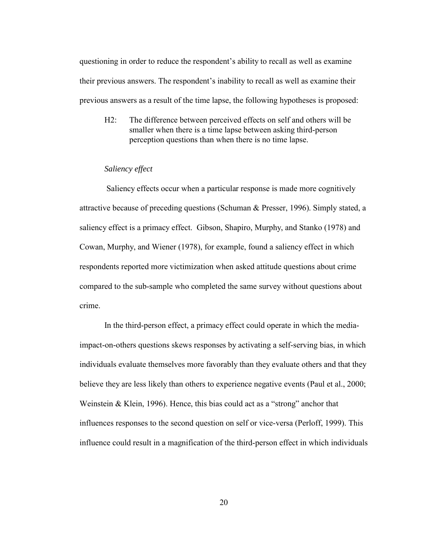questioning in order to reduce the respondent's ability to recall as well as examine their previous answers. The respondent's inability to recall as well as examine their previous answers as a result of the time lapse, the following hypotheses is proposed:

H2: The difference between perceived effects on self and others will be smaller when there is a time lapse between asking third-person perception questions than when there is no time lapse.

# *Saliency effect*

 Saliency effects occur when a particular response is made more cognitively attractive because of preceding questions (Schuman & Presser, 1996). Simply stated, a saliency effect is a primacy effect. Gibson, Shapiro, Murphy, and Stanko (1978) and Cowan, Murphy, and Wiener (1978), for example, found a saliency effect in which respondents reported more victimization when asked attitude questions about crime compared to the sub-sample who completed the same survey without questions about crime.

In the third-person effect, a primacy effect could operate in which the mediaimpact-on-others questions skews responses by activating a self-serving bias, in which individuals evaluate themselves more favorably than they evaluate others and that they believe they are less likely than others to experience negative events (Paul et al., 2000; Weinstein & Klein, 1996). Hence, this bias could act as a "strong" anchor that influences responses to the second question on self or vice-versa (Perloff, 1999). This influence could result in a magnification of the third-person effect in which individuals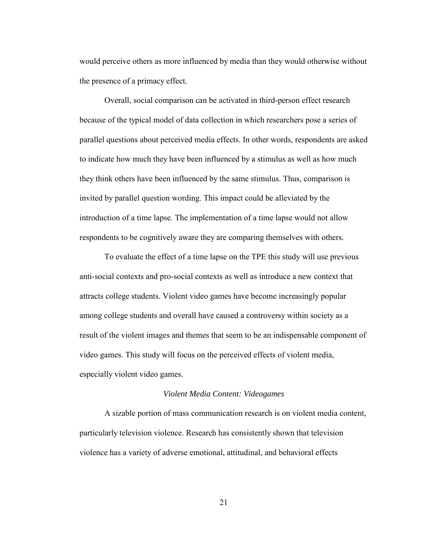would perceive others as more influenced by media than they would otherwise without the presence of a primacy effect.

Overall, social comparison can be activated in third-person effect research because of the typical model of data collection in which researchers pose a series of parallel questions about perceived media effects. In other words, respondents are asked to indicate how much they have been influenced by a stimulus as well as how much they think others have been influenced by the same stimulus. Thus, comparison is invited by parallel question wording. This impact could be alleviated by the introduction of a time lapse. The implementation of a time lapse would not allow respondents to be cognitively aware they are comparing themselves with others.

To evaluate the effect of a time lapse on the TPE this study will use previous anti-social contexts and pro-social contexts as well as introduce a new context that attracts college students. Violent video games have become increasingly popular among college students and overall have caused a controversy within society as a result of the violent images and themes that seem to be an indispensable component of video games. This study will focus on the perceived effects of violent media, especially violent video games.

#### *Violent Media Content: Videogames*

A sizable portion of mass communication research is on violent media content, particularly television violence. Research has consistently shown that television violence has a variety of adverse emotional, attitudinal, and behavioral effects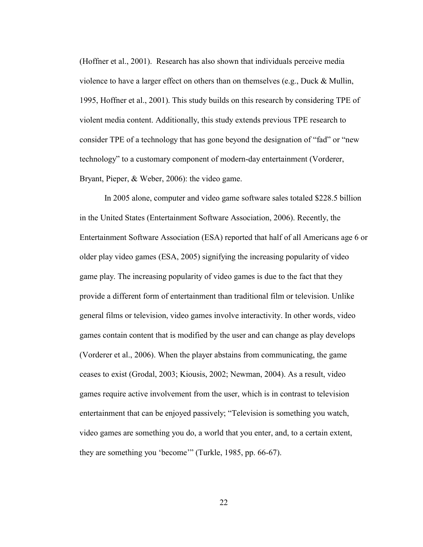(Hoffner et al., 2001). Research has also shown that individuals perceive media violence to have a larger effect on others than on themselves (e.g., Duck & Mullin, 1995, Hoffner et al., 2001). This study builds on this research by considering TPE of violent media content. Additionally, this study extends previous TPE research to consider TPE of a technology that has gone beyond the designation of "fad" or "new technology" to a customary component of modern-day entertainment (Vorderer, Bryant, Pieper, & Weber, 2006): the video game.

In 2005 alone, computer and video game software sales totaled \$228.5 billion in the United States (Entertainment Software Association, 2006). Recently, the Entertainment Software Association (ESA) reported that half of all Americans age 6 or older play video games (ESA, 2005) signifying the increasing popularity of video game play. The increasing popularity of video games is due to the fact that they provide a different form of entertainment than traditional film or television. Unlike general films or television, video games involve interactivity. In other words, video games contain content that is modified by the user and can change as play develops (Vorderer et al., 2006). When the player abstains from communicating, the game ceases to exist (Grodal, 2003; Kiousis, 2002; Newman, 2004). As a result, video games require active involvement from the user, which is in contrast to television entertainment that can be enjoyed passively; "Television is something you watch, video games are something you do, a world that you enter, and, to a certain extent, they are something you 'become'" (Turkle, 1985, pp. 66-67).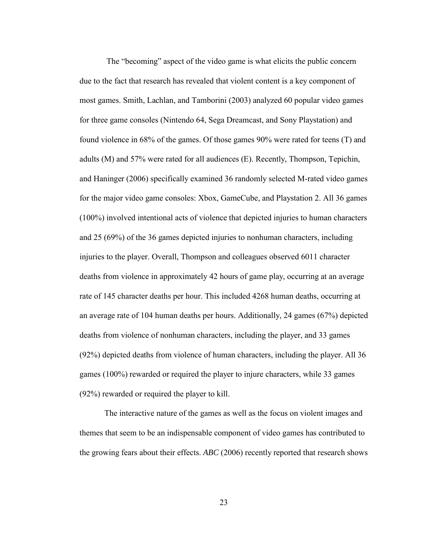The "becoming" aspect of the video game is what elicits the public concern due to the fact that research has revealed that violent content is a key component of most games. Smith, Lachlan, and Tamborini (2003) analyzed 60 popular video games for three game consoles (Nintendo 64, Sega Dreamcast, and Sony Playstation) and found violence in 68% of the games. Of those games 90% were rated for teens (T) and adults (M) and 57% were rated for all audiences (E). Recently, Thompson, Tepichin, and Haninger (2006) specifically examined 36 randomly selected M-rated video games for the major video game consoles: Xbox, GameCube, and Playstation 2. All 36 games (100%) involved intentional acts of violence that depicted injuries to human characters and 25 (69%) of the 36 games depicted injuries to nonhuman characters, including injuries to the player. Overall, Thompson and colleagues observed 6011 character deaths from violence in approximately 42 hours of game play, occurring at an average rate of 145 character deaths per hour. This included 4268 human deaths, occurring at an average rate of 104 human deaths per hours. Additionally, 24 games (67%) depicted deaths from violence of nonhuman characters, including the player, and 33 games (92%) depicted deaths from violence of human characters, including the player. All 36 games (100%) rewarded or required the player to injure characters, while 33 games (92%) rewarded or required the player to kill.

The interactive nature of the games as well as the focus on violent images and themes that seem to be an indispensable component of video games has contributed to the growing fears about their effects. *ABC* (2006) recently reported that research shows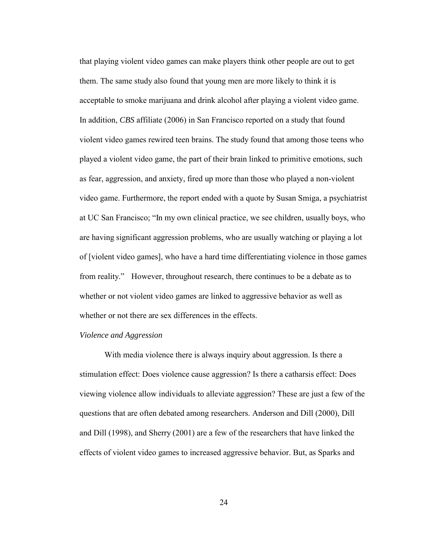that playing violent video games can make players think other people are out to get them. The same study also found that young men are more likely to think it is acceptable to smoke marijuana and drink alcohol after playing a violent video game. In addition, *CBS* affiliate (2006) in San Francisco reported on a study that found violent video games rewired teen brains. The study found that among those teens who played a violent video game, the part of their brain linked to primitive emotions, such as fear, aggression, and anxiety, fired up more than those who played a non-violent video game. Furthermore, the report ended with a quote by Susan Smiga, a psychiatrist at UC San Francisco; "In my own clinical practice, we see children, usually boys, who are having significant aggression problems, who are usually watching or playing a lot of [violent video games], who have a hard time differentiating violence in those games from reality." However, throughout research, there continues to be a debate as to whether or not violent video games are linked to aggressive behavior as well as whether or not there are sex differences in the effects.

#### *Violence and Aggression*

With media violence there is always inquiry about aggression. Is there a stimulation effect: Does violence cause aggression? Is there a catharsis effect: Does viewing violence allow individuals to alleviate aggression? These are just a few of the questions that are often debated among researchers. Anderson and Dill (2000), Dill and Dill (1998), and Sherry (2001) are a few of the researchers that have linked the effects of violent video games to increased aggressive behavior. But, as Sparks and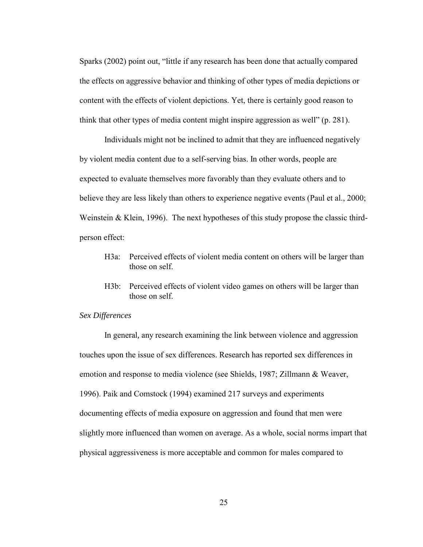Sparks (2002) point out, "little if any research has been done that actually compared the effects on aggressive behavior and thinking of other types of media depictions or content with the effects of violent depictions. Yet, there is certainly good reason to think that other types of media content might inspire aggression as well" (p. 281).

Individuals might not be inclined to admit that they are influenced negatively by violent media content due to a self-serving bias. In other words, people are expected to evaluate themselves more favorably than they evaluate others and to believe they are less likely than others to experience negative events (Paul et al., 2000; Weinstein & Klein, 1996). The next hypotheses of this study propose the classic thirdperson effect:

- H3a: Perceived effects of violent media content on others will be larger than those on self.
- H3b: Perceived effects of violent video games on others will be larger than those on self.

### *Sex Differences*

In general*,* any research examining the link between violence and aggression touches upon the issue of sex differences. Research has reported sex differences in emotion and response to media violence (see Shields, 1987; Zillmann & Weaver, 1996). Paik and Comstock (1994) examined 217 surveys and experiments documenting effects of media exposure on aggression and found that men were slightly more influenced than women on average. As a whole, social norms impart that physical aggressiveness is more acceptable and common for males compared to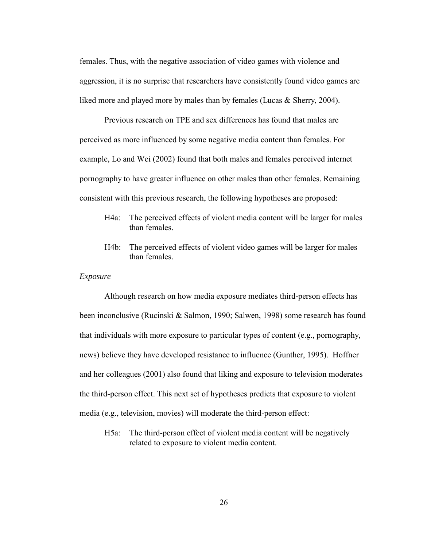females. Thus, with the negative association of video games with violence and aggression, it is no surprise that researchers have consistently found video games are liked more and played more by males than by females (Lucas & Sherry, 2004).

Previous research on TPE and sex differences has found that males are perceived as more influenced by some negative media content than females. For example, Lo and Wei (2002) found that both males and females perceived internet pornography to have greater influence on other males than other females. Remaining consistent with this previous research, the following hypotheses are proposed:

- H4a: The perceived effects of violent media content will be larger for males than females.
- H4b: The perceived effects of violent video games will be larger for males than females.

#### *Exposure*

Although research on how media exposure mediates third-person effects has been inconclusive (Rucinski & Salmon, 1990; Salwen, 1998) some research has found that individuals with more exposure to particular types of content (e.g., pornography, news) believe they have developed resistance to influence (Gunther, 1995). Hoffner and her colleagues (2001) also found that liking and exposure to television moderates the third-person effect. This next set of hypotheses predicts that exposure to violent media (e.g., television, movies) will moderate the third-person effect:

H5a: The third-person effect of violent media content will be negatively related to exposure to violent media content.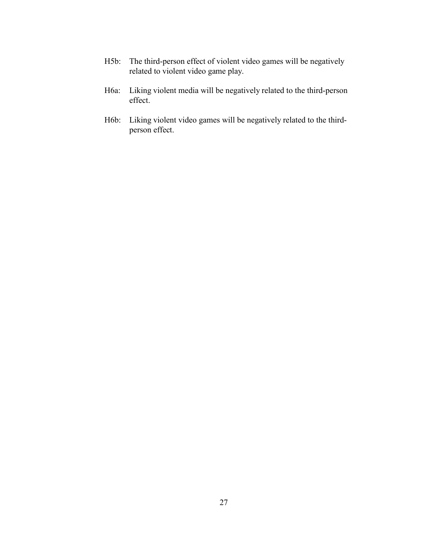- H5b: The third-person effect of violent video games will be negatively related to violent video game play.
- H6a: Liking violent media will be negatively related to the third-person effect.
- H6b: Liking violent video games will be negatively related to the thirdperson effect.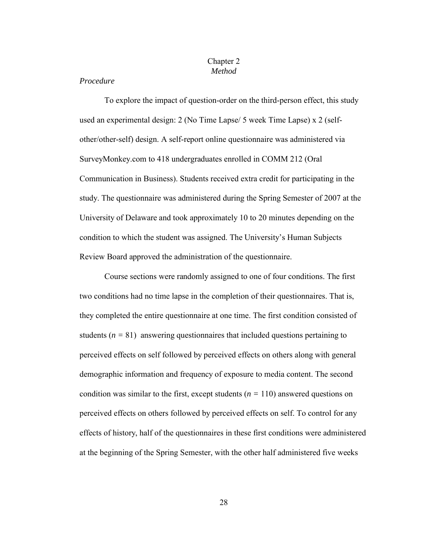Chapter 2 *Method*

# *Procedure*

To explore the impact of question-order on the third-person effect, this study used an experimental design: 2 (No Time Lapse/ 5 week Time Lapse) x 2 (selfother/other-self) design. A self-report online questionnaire was administered via SurveyMonkey.com to 418 undergraduates enrolled in COMM 212 (Oral Communication in Business). Students received extra credit for participating in the study. The questionnaire was administered during the Spring Semester of 2007 at the University of Delaware and took approximately 10 to 20 minutes depending on the condition to which the student was assigned. The University's Human Subjects Review Board approved the administration of the questionnaire.

Course sections were randomly assigned to one of four conditions. The first two conditions had no time lapse in the completion of their questionnaires. That is, they completed the entire questionnaire at one time. The first condition consisted of students  $(n = 81)$  answering questionnaires that included questions pertaining to perceived effects on self followed by perceived effects on others along with general demographic information and frequency of exposure to media content. The second condition was similar to the first, except students (*n =* 110) answered questions on perceived effects on others followed by perceived effects on self. To control for any effects of history, half of the questionnaires in these first conditions were administered at the beginning of the Spring Semester, with the other half administered five weeks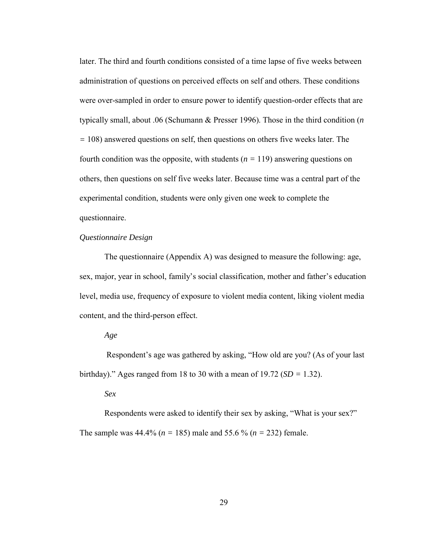later. The third and fourth conditions consisted of a time lapse of five weeks between administration of questions on perceived effects on self and others. These conditions were over-sampled in order to ensure power to identify question-order effects that are typically small, about .06 (Schumann & Presser 1996). Those in the third condition (*n =* 108) answered questions on self, then questions on others five weeks later. The fourth condition was the opposite, with students (*n =* 119) answering questions on others, then questions on self five weeks later. Because time was a central part of the experimental condition, students were only given one week to complete the questionnaire.

## *Questionnaire Design*

The questionnaire (Appendix A) was designed to measure the following: age, sex, major, year in school, family's social classification, mother and father's education level, media use, frequency of exposure to violent media content, liking violent media content, and the third-person effect.

*Age*

 Respondent's age was gathered by asking, "How old are you? (As of your last birthday)." Ages ranged from 18 to 30 with a mean of 19.72 (*SD =* 1.32).

*Sex*

Respondents were asked to identify their sex by asking, "What is your sex?" The sample was 44.4% (*n =* 185) male and 55.6 % (*n =* 232) female.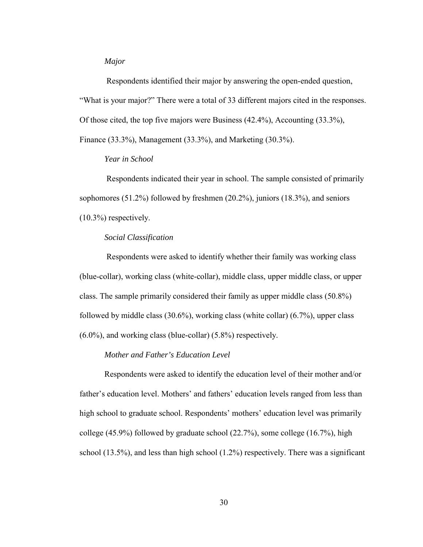#### *Major*

Respondents identified their major by answering the open-ended question, "What is your major?" There were a total of 33 different majors cited in the responses. Of those cited, the top five majors were Business (42.4%), Accounting (33.3%),

Finance (33.3%), Management (33.3%), and Marketing (30.3%).

*Year in School*

Respondents indicated their year in school. The sample consisted of primarily sophomores (51.2%) followed by freshmen (20.2%), juniors (18.3%), and seniors (10.3%) respectively.

## *Social Classification*

Respondents were asked to identify whether their family was working class (blue-collar), working class (white-collar), middle class, upper middle class, or upper class. The sample primarily considered their family as upper middle class (50.8%) followed by middle class (30.6%), working class (white collar) (6.7%), upper class  $(6.0\%)$ , and working class (blue-collar)  $(5.8\%)$  respectively.

*Mother and Father's Education Level*

Respondents were asked to identify the education level of their mother and/or father's education level. Mothers' and fathers' education levels ranged from less than high school to graduate school. Respondents' mothers' education level was primarily college (45.9%) followed by graduate school (22.7%), some college (16.7%), high school (13.5%), and less than high school (1.2%) respectively. There was a significant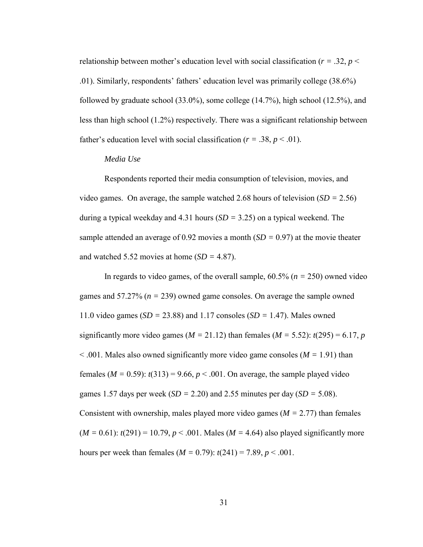relationship between mother's education level with social classification ( $r = .32$ ,  $p <$ .01). Similarly, respondents' fathers' education level was primarily college (38.6%) followed by graduate school (33.0%), some college (14.7%), high school (12.5%), and less than high school (1.2%) respectively. There was a significant relationship between father's education level with social classification ( $r = .38$ ,  $p < .01$ ).

## *Media Use*

Respondents reported their media consumption of television, movies, and video games. On average, the sample watched 2.68 hours of television (*SD =* 2.56) during a typical weekday and 4.31 hours (*SD =* 3.25) on a typical weekend. The sample attended an average of 0.92 movies a month (*SD =* 0.97) at the movie theater and watched 5.52 movies at home (*SD =* 4.87).

In regards to video games, of the overall sample, 60.5% (*n =* 250) owned video games and 57.27% (*n =* 239) owned game consoles. On average the sample owned 11.0 video games (*SD =* 23.88) and 1.17 consoles (*SD =* 1.47). Males owned significantly more video games ( $M = 21.12$ ) than females ( $M = 5.52$ ):  $t(295) = 6.17$ , *p* < .001. Males also owned significantly more video game consoles (*M =* 1.91) than females ( $M = 0.59$ ):  $t(313) = 9.66$ ,  $p < .001$ . On average, the sample played video games 1.57 days per week (*SD =* 2.20) and 2.55 minutes per day (*SD =* 5.08). Consistent with ownership, males played more video games (*M =* 2.77) than females  $(M = 0.61)$ :  $t(291) = 10.79$ ,  $p < .001$ . Males  $(M = 4.64)$  also played significantly more hours per week than females ( $M = 0.79$ ):  $t(241) = 7.89$ ,  $p < .001$ .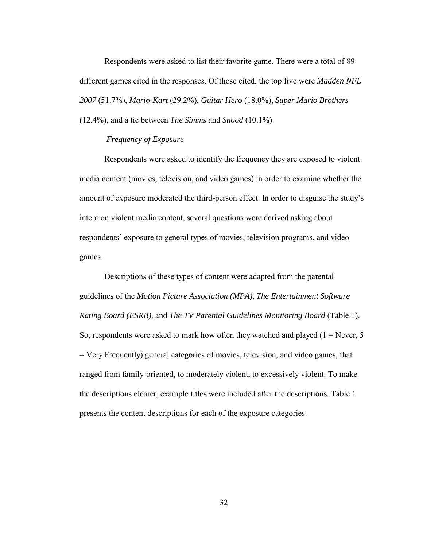Respondents were asked to list their favorite game. There were a total of 89 different games cited in the responses. Of those cited, the top five were *Madden NFL 2007* (51.7%), *Mario-Kart* (29.2%), *Guitar Hero* (18.0%), *Super Mario Brothers*  (12.4%), and a tie between *The Simms* and *Snood* (10.1%).

## *Frequency of Exposure*

Respondents were asked to identify the frequency they are exposed to violent media content (movies, television, and video games) in order to examine whether the amount of exposure moderated the third-person effect. In order to disguise the study's intent on violent media content, several questions were derived asking about respondents' exposure to general types of movies, television programs, and video games.

Descriptions of these types of content were adapted from the parental guidelines of the *Motion Picture Association (MPA)*, *The Entertainment Software Rating Board (ESRB),* and *The TV Parental Guidelines Monitoring Board* (Table 1). So, respondents were asked to mark how often they watched and played  $(1 =$  Never, 5 = Very Frequently) general categories of movies, television, and video games, that ranged from family-oriented, to moderately violent, to excessively violent. To make the descriptions clearer, example titles were included after the descriptions. Table 1 presents the content descriptions for each of the exposure categories.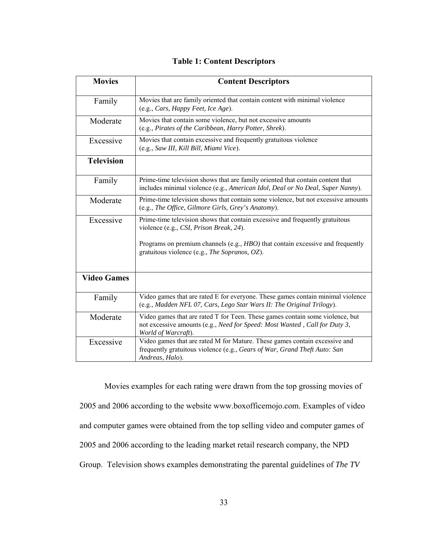| <b>Movies</b>      | <b>Content Descriptors</b>                                                                                                                                                                                                                                         |
|--------------------|--------------------------------------------------------------------------------------------------------------------------------------------------------------------------------------------------------------------------------------------------------------------|
| Family             | Movies that are family oriented that contain content with minimal violence<br>(e.g., Cars, Happy Feet, Ice Age).                                                                                                                                                   |
| Moderate           | Movies that contain some violence, but not excessive amounts<br>(e.g., Pirates of the Caribbean, Harry Potter, Shrek).                                                                                                                                             |
| Excessive          | Movies that contain excessive and frequently gratuitous violence<br>(e.g., Saw III, Kill Bill, Miami Vice).                                                                                                                                                        |
| <b>Television</b>  |                                                                                                                                                                                                                                                                    |
| Family             | Prime-time television shows that are family oriented that contain content that<br>includes minimal violence (e.g., American Idol, Deal or No Deal, Super Nanny).                                                                                                   |
| Moderate           | Prime-time television shows that contain some violence, but not excessive amounts<br>(e.g., The Office, Gilmore Girls, Grey's Anatomy).                                                                                                                            |
| Excessive          | Prime-time television shows that contain excessive and frequently gratuitous<br>violence (e.g., CSI, Prison Break, 24).<br>Programs on premium channels (e.g., <i>HBO</i> ) that contain excessive and frequently<br>gratuitous violence (e.g., The Sopranos, OZ). |
| <b>Video Games</b> |                                                                                                                                                                                                                                                                    |
| Family             | Video games that are rated E for everyone. These games contain minimal violence<br>(e.g., Madden NFL 07, Cars, Lego Star Wars II: The Original Trilogy).                                                                                                           |
| Moderate           | Video games that are rated T for Teen. These games contain some violence, but<br>not excessive amounts (e.g., Need for Speed: Most Wanted, Call for Duty 3,<br>World of Warcraft).                                                                                 |
| Excessive          | Video games that are rated M for Mature. These games contain excessive and<br>frequently gratuitous violence (e.g., Gears of War, Grand Theft Auto: San<br>Andreas, Halo).                                                                                         |

## **Table 1: Content Descriptors**

Movies examples for each rating were drawn from the top grossing movies of 2005 and 2006 according to the website www.boxofficemojo.com. Examples of video and computer games were obtained from the top selling video and computer games of 2005 and 2006 according to the leading market retail research company, the NPD Group. Television shows examples demonstrating the parental guidelines of *The TV*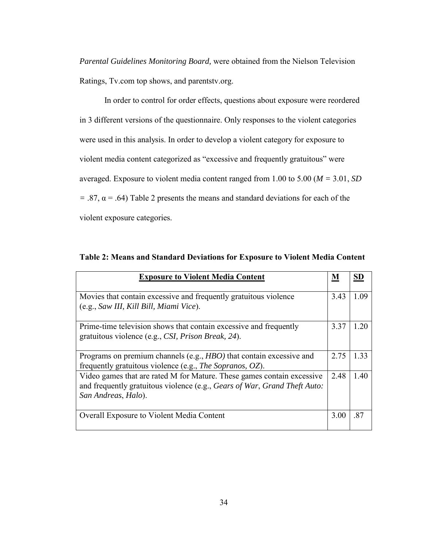*Parental Guidelines Monitoring Board,* were obtained from the Nielson Television Ratings, Tv.com top shows, and parentstv.org.

In order to control for order effects, questions about exposure were reordered in 3 different versions of the questionnaire. Only responses to the violent categories were used in this analysis. In order to develop a violent category for exposure to violent media content categorized as "excessive and frequently gratuitous" were averaged. Exposure to violent media content ranged from 1.00 to 5.00 (*M =* 3.01, *SD*   $=$  .87,  $\alpha$  = .64) Table 2 presents the means and standard deviations for each of the violent exposure categories.

| <b>Exposure to Violent Media Content</b>                                                                                                                                                   | M    |      |
|--------------------------------------------------------------------------------------------------------------------------------------------------------------------------------------------|------|------|
| Movies that contain excessive and frequently gratuitous violence<br>(e.g., Saw III, Kill Bill, Miami Vice).                                                                                | 3.43 | 1.09 |
| Prime-time television shows that contain excessive and frequently<br>gratuitous violence (e.g., CSI, Prison Break, 24).                                                                    | 3.37 | 1 20 |
| Programs on premium channels (e.g., $HBO$ ) that contain excessive and<br>frequently gratuitous violence (e.g., <i>The Sopranos</i> , <i>OZ</i> ).                                         | 2.75 | 133  |
| Video games that are rated M for Mature. These games contain excessive<br>and frequently gratuitous violence (e.g., <i>Gears of War</i> , <i>Grand Theft Auto</i> :<br>San Andreas, Halo). | 2.48 | 1.40 |
| <b>Overall Exposure to Violent Media Content</b>                                                                                                                                           | 3.00 | -87  |

**Table 2: Means and Standard Deviations for Exposure to Violent Media Content**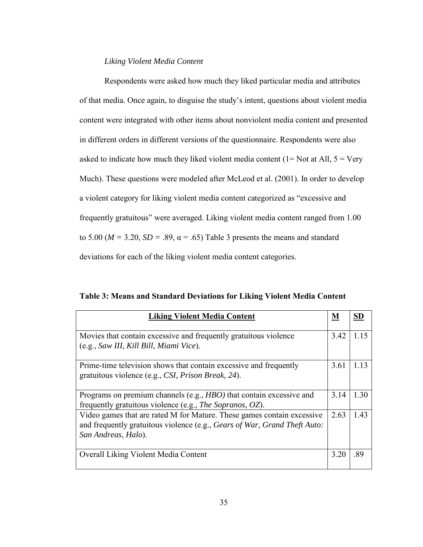## *Liking Violent Media Content*

Respondents were asked how much they liked particular media and attributes of that media. Once again, to disguise the study's intent, questions about violent media content were integrated with other items about nonviolent media content and presented in different orders in different versions of the questionnaire. Respondents were also asked to indicate how much they liked violent media content  $(1=Not at All, 5 = Very)$ Much). These questions were modeled after McLeod et al. (2001). In order to develop a violent category for liking violent media content categorized as "excessive and frequently gratuitous" were averaged. Liking violent media content ranged from 1.00 to 5.00 ( $M = 3.20$ ,  $SD = .89$ ,  $\alpha = .65$ ) Table 3 presents the means and standard deviations for each of the liking violent media content categories.

**Table 3: Means and Standard Deviations for Liking Violent Media Content**

| <b>Liking Violent Media Content</b>                                                                                                                                        | M    | <b>SD</b> |
|----------------------------------------------------------------------------------------------------------------------------------------------------------------------------|------|-----------|
| Movies that contain excessive and frequently gratuitous violence<br>(e.g., Saw III, Kill Bill, Miami Vice).                                                                | 3.42 | 1.15      |
| Prime-time television shows that contain excessive and frequently<br>gratuitous violence (e.g., CSI, Prison Break, 24).                                                    | 3.61 | 1 1 3     |
| Programs on premium channels (e.g., $HBO$ ) that contain excessive and<br>frequently gratuitous violence (e.g., <i>The Sopranos</i> , <i>OZ</i> ).                         | 3.14 | 1.30      |
| Video games that are rated M for Mature. These games contain excessive<br>and frequently gratuitous violence (e.g., Gears of War, Grand Theft Auto:<br>San Andreas, Halo). | 2.63 | 1.43      |
| <b>Overall Liking Violent Media Content</b>                                                                                                                                | 3.20 | .89       |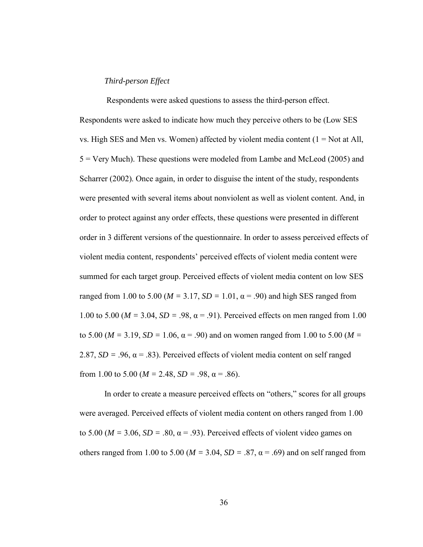## *Third-person Effect*

Respondents were asked questions to assess the third-person effect. Respondents were asked to indicate how much they perceive others to be (Low SES vs. High SES and Men vs. Women) affected by violent media content  $(1 = Not at All,$ 5 = Very Much). These questions were modeled from Lambe and McLeod (2005) and Scharrer (2002). Once again, in order to disguise the intent of the study, respondents were presented with several items about nonviolent as well as violent content. And, in order to protect against any order effects, these questions were presented in different order in 3 different versions of the questionnaire. In order to assess perceived effects of violent media content, respondents' perceived effects of violent media content were summed for each target group. Perceived effects of violent media content on low SES ranged from 1.00 to 5.00 ( $M = 3.17$ ,  $SD = 1.01$ ,  $\alpha = .90$ ) and high SES ranged from 1.00 to 5.00 ( $M = 3.04$ ,  $SD = .98$ ,  $\alpha = .91$ ). Perceived effects on men ranged from 1.00 to 5.00 ( $M = 3.19$ ,  $SD = 1.06$ ,  $\alpha = .90$ ) and on women ranged from 1.00 to 5.00 ( $M =$ 2.87,  $SD = .96$ ,  $\alpha = .83$ ). Perceived effects of violent media content on self ranged from 1.00 to 5.00 ( $M = 2.48$ ,  $SD = .98$ ,  $\alpha = .86$ ).

In order to create a measure perceived effects on "others," scores for all groups were averaged. Perceived effects of violent media content on others ranged from 1.00 to 5.00 ( $M = 3.06$ ,  $SD = .80$ ,  $\alpha = .93$ ). Perceived effects of violent video games on others ranged from 1.00 to 5.00 ( $M = 3.04$ ,  $SD = .87$ ,  $\alpha = .69$ ) and on self ranged from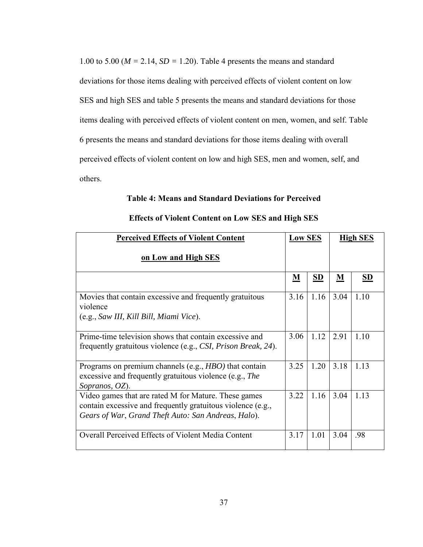1.00 to 5.00 (*M =* 2.14, *SD =* 1.20). Table 4 presents the means and standard deviations for those items dealing with perceived effects of violent content on low SES and high SES and table 5 presents the means and standard deviations for those items dealing with perceived effects of violent content on men, women, and self. Table 6 presents the means and standard deviations for those items dealing with overall perceived effects of violent content on low and high SES, men and women, self, and others.

## **Table 4: Means and Standard Deviations for Perceived**

| <b>Perceived Effects of Violent Content</b>                                                                                                                                |      | <b>Low SES</b> |      | <b>High SES</b> |  |
|----------------------------------------------------------------------------------------------------------------------------------------------------------------------------|------|----------------|------|-----------------|--|
| on Low and High SES                                                                                                                                                        |      |                |      |                 |  |
|                                                                                                                                                                            | M    | SD             | M    | <b>SD</b>       |  |
| Movies that contain excessive and frequently gratuitous<br>violence<br>(e.g., Saw III, Kill Bill, Miami Vice).                                                             | 3.16 | 1.16           | 3.04 | 1.10            |  |
| Prime-time television shows that contain excessive and<br>frequently gratuitous violence (e.g., CSI, Prison Break, 24).                                                    | 3.06 | 1.12           | 2.91 | 1.10            |  |
| Programs on premium channels (e.g., HBO) that contain<br>excessive and frequently gratuitous violence (e.g., The<br>Sopranos, OZ).                                         | 3.25 | 1.20           | 3.18 | 1.13            |  |
| Video games that are rated M for Mature. These games<br>contain excessive and frequently gratuitous violence (e.g.,<br>Gears of War, Grand Theft Auto: San Andreas, Halo). | 3.22 | 1.16           | 3.04 | 1.13            |  |
| <b>Overall Perceived Effects of Violent Media Content</b>                                                                                                                  | 3.17 | 1.01           | 3.04 | .98             |  |

## **Effects of Violent Content on Low SES and High SES**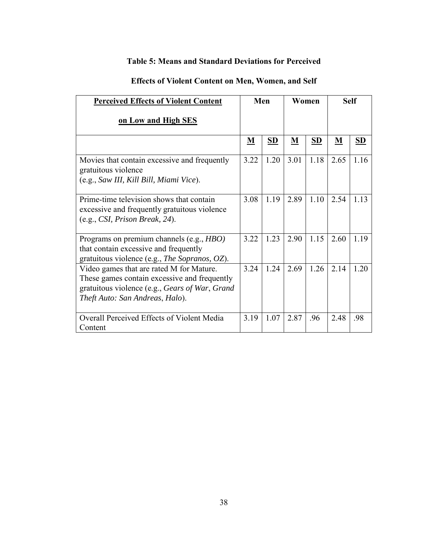## **Table 5: Means and Standard Deviations for Perceived**

| <b>Perceived Effects of Violent Content</b>                                                                                                                                   | Men  |      | Women |           | <b>Self</b> |           |
|-------------------------------------------------------------------------------------------------------------------------------------------------------------------------------|------|------|-------|-----------|-------------|-----------|
| on Low and High SES                                                                                                                                                           |      |      |       |           |             |           |
|                                                                                                                                                                               | M    | SD   | M     | <u>SD</u> | M           | <u>SD</u> |
| Movies that contain excessive and frequently<br>gratuitous violence<br>(e.g., Saw III, Kill Bill, Miami Vice).                                                                | 3.22 | 1.20 | 3.01  | 1.18      | 2.65        | 1.16      |
| Prime-time television shows that contain<br>excessive and frequently gratuitous violence<br>(e.g., CSI, Prison Break, 24).                                                    | 3.08 | 1.19 | 2.89  | 1.10      | 2.54        | 1.13      |
| Programs on premium channels (e.g., <i>HBO</i> )<br>that contain excessive and frequently<br>gratuitous violence (e.g., The Sopranos, OZ).                                    | 3.22 | 1.23 | 2.90  | 1.15      | 2.60        | 1.19      |
| Video games that are rated M for Mature.<br>These games contain excessive and frequently<br>gratuitous violence (e.g., Gears of War, Grand<br>Theft Auto: San Andreas, Halo). | 3.24 | 1.24 | 2.69  | 1.26      | 2.14        | 1.20      |
| Overall Perceived Effects of Violent Media<br>Content                                                                                                                         | 3.19 | 1.07 | 2.87  | .96       | 2.48        | .98       |

## **Effects of Violent Content on Men, Women, and Self**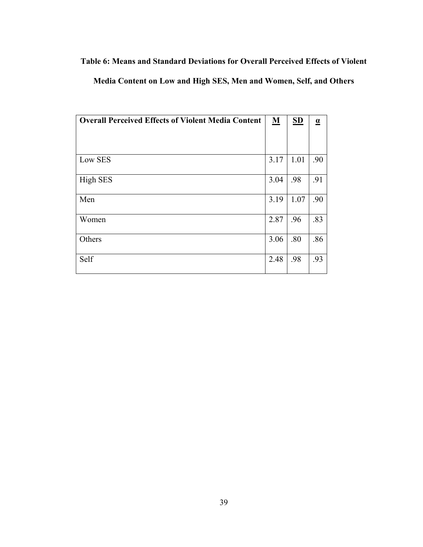# **Table 6: Means and Standard Deviations for Overall Perceived Effects of Violent Media Content on Low and High SES, Men and Women, Self, and Others**

| <b>Overall Perceived Effects of Violent Media Content</b> | $\underline{\mathbf{M}}$ | $\underline{\mathbf{SD}}$ | $\alpha$ |
|-----------------------------------------------------------|--------------------------|---------------------------|----------|
|                                                           |                          |                           |          |
| Low SES                                                   | 3.17                     | 1.01                      | .90      |
| High SES                                                  | 3.04                     | .98                       | .91      |
| Men                                                       | 3.19                     | 1.07                      | .90      |
| Women                                                     | 2.87                     | .96                       | .83      |
| Others                                                    | 3.06                     | .80                       | .86      |
| Self                                                      | 2.48                     | .98                       | .93      |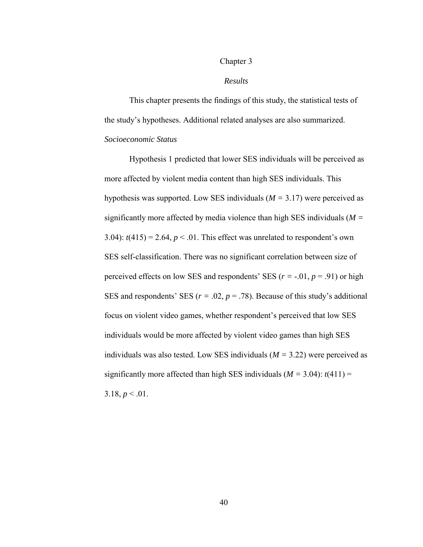#### Chapter 3

#### *Results*

This chapter presents the findings of this study, the statistical tests of the study's hypotheses. Additional related analyses are also summarized. *Socioeconomic Status*

Hypothesis 1 predicted that lower SES individuals will be perceived as more affected by violent media content than high SES individuals. This hypothesis was supported. Low SES individuals (*M =* 3.17) were perceived as significantly more affected by media violence than high SES individuals (*M =*  3.04):  $t(415) = 2.64$ ,  $p < .01$ . This effect was unrelated to respondent's own SES self-classification. There was no significant correlation between size of perceived effects on low SES and respondents' SES  $(r = -0.01, p = 0.91)$  or high SES and respondents' SES ( $r = .02$ ,  $p = .78$ ). Because of this study's additional focus on violent video games, whether respondent's perceived that low SES individuals would be more affected by violent video games than high SES individuals was also tested. Low SES individuals (*M =* 3.22) were perceived as significantly more affected than high SES individuals  $(M = 3.04)$ :  $t(411) =$  $3.18, p \leq .01$ .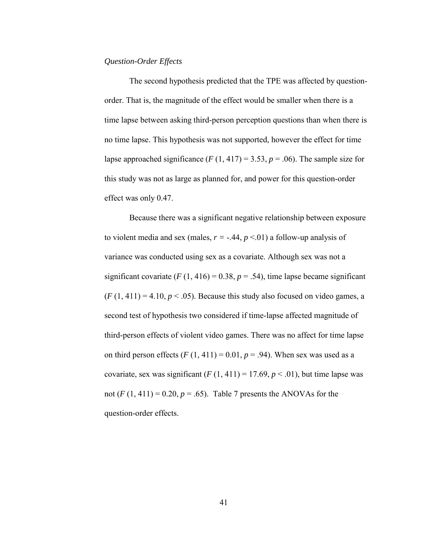## *Question-Order Effects*

The second hypothesis predicted that the TPE was affected by questionorder. That is, the magnitude of the effect would be smaller when there is a time lapse between asking third-person perception questions than when there is no time lapse. This hypothesis was not supported, however the effect for time lapse approached significance  $(F(1, 417) = 3.53, p = .06)$ . The sample size for this study was not as large as planned for, and power for this question-order effect was only 0.47.

Because there was a significant negative relationship between exposure to violent media and sex (males,  $r = -.44$ ,  $p \le 01$ ) a follow-up analysis of variance was conducted using sex as a covariate. Although sex was not a significant covariate  $(F(1, 416) = 0.38, p = .54)$ , time lapse became significant  $(F(1, 411) = 4.10, p < .05)$ . Because this study also focused on video games, a second test of hypothesis two considered if time-lapse affected magnitude of third-person effects of violent video games. There was no affect for time lapse on third person effects  $(F(1, 411) = 0.01, p = .94)$ . When sex was used as a covariate, sex was significant  $(F(1, 411) = 17.69, p < .01)$ , but time lapse was not  $(F(1, 411) = 0.20, p = .65)$ . Table 7 presents the ANOVAs for the question-order effects.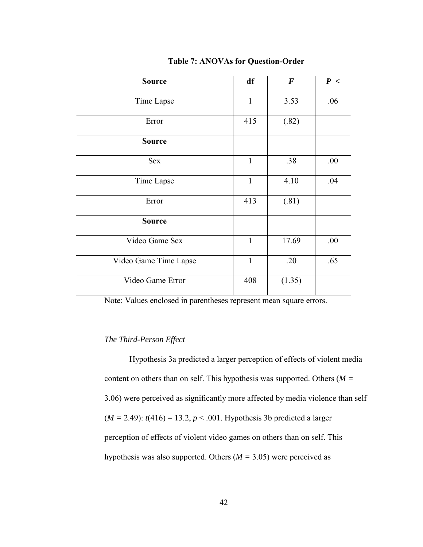| <b>Source</b>         | df           | $\boldsymbol{F}$ | P<  |
|-----------------------|--------------|------------------|-----|
| Time Lapse            | $\mathbf{1}$ | 3.53             | .06 |
| Error                 | 415          | (.82)            |     |
| <b>Source</b>         |              |                  |     |
| <b>Sex</b>            | $\mathbf{1}$ | .38              | .00 |
| Time Lapse            | $\mathbf{1}$ | 4.10             | .04 |
| Error                 | 413          | (.81)            |     |
| <b>Source</b>         |              |                  |     |
| Video Game Sex        | $\mathbf{1}$ | 17.69            | .00 |
| Video Game Time Lapse | $\mathbf{1}$ | .20              | .65 |
| Video Game Error      | 408          | (1.35)           |     |

#### **Table 7: ANOVAs for Question-Order**

Note: Values enclosed in parentheses represent mean square errors.

## *The Third-Person Effect*

Hypothesis 3a predicted a larger perception of effects of violent media content on others than on self. This hypothesis was supported. Others (*M =*  3.06) were perceived as significantly more affected by media violence than self  $(M = 2.49)$ :  $t(416) = 13.2, p < .001$ . Hypothesis 3b predicted a larger perception of effects of violent video games on others than on self. This hypothesis was also supported. Others (*M =* 3.05) were perceived as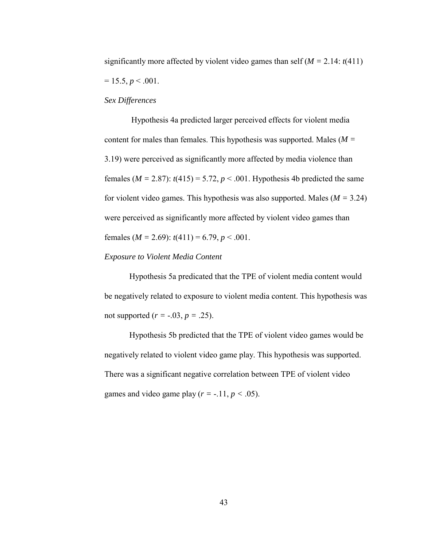significantly more affected by violent video games than self  $(M = 2.14: t(411))$  $= 15.5, p \le 0.001$ .

#### *Sex Differences*

Hypothesis 4a predicted larger perceived effects for violent media content for males than females. This hypothesis was supported. Males (*M =*  3.19) were perceived as significantly more affected by media violence than females ( $M = 2.87$ ):  $t(415) = 5.72$ ,  $p < .001$ . Hypothesis 4b predicted the same for violent video games. This hypothesis was also supported. Males (*M =* 3.24) were perceived as significantly more affected by violent video games than females ( $M = 2.69$ ):  $t(411) = 6.79$ ,  $p < .001$ .

#### *Exposure to Violent Media Content*

Hypothesis 5a predicated that the TPE of violent media content would be negatively related to exposure to violent media content. This hypothesis was not supported  $(r = -.03, p = .25)$ .

Hypothesis 5b predicted that the TPE of violent video games would be negatively related to violent video game play. This hypothesis was supported. There was a significant negative correlation between TPE of violent video games and video game play  $(r = -11, p < .05)$ .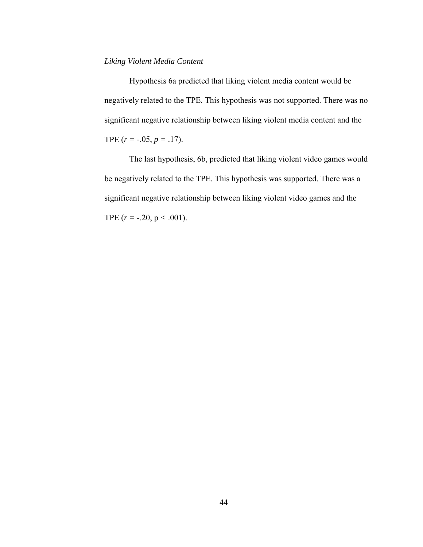## *Liking Violent Media Content*

Hypothesis 6a predicted that liking violent media content would be negatively related to the TPE. This hypothesis was not supported. There was no significant negative relationship between liking violent media content and the TPE  $(r = -.05, p = .17)$ .

The last hypothesis, 6b, predicted that liking violent video games would be negatively related to the TPE. This hypothesis was supported. There was a significant negative relationship between liking violent video games and the TPE  $(r = -.20, p < .001)$ .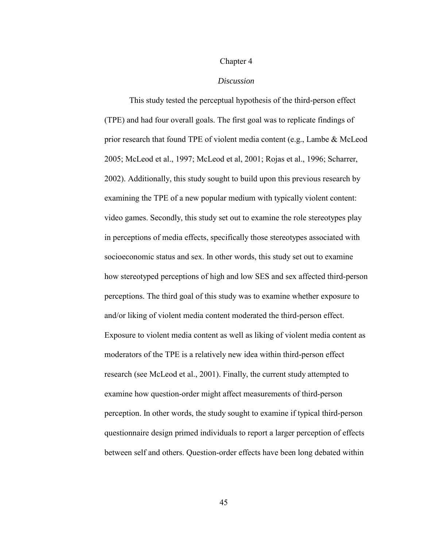#### Chapter 4

#### *Discussion*

This study tested the perceptual hypothesis of the third-person effect (TPE) and had four overall goals. The first goal was to replicate findings of prior research that found TPE of violent media content (e.g., Lambe & McLeod 2005; McLeod et al., 1997; McLeod et al, 2001; Rojas et al., 1996; Scharrer, 2002). Additionally, this study sought to build upon this previous research by examining the TPE of a new popular medium with typically violent content: video games. Secondly, this study set out to examine the role stereotypes play in perceptions of media effects, specifically those stereotypes associated with socioeconomic status and sex. In other words, this study set out to examine how stereotyped perceptions of high and low SES and sex affected third-person perceptions. The third goal of this study was to examine whether exposure to and/or liking of violent media content moderated the third-person effect. Exposure to violent media content as well as liking of violent media content as moderators of the TPE is a relatively new idea within third-person effect research (see McLeod et al., 2001). Finally, the current study attempted to examine how question-order might affect measurements of third-person perception. In other words, the study sought to examine if typical third-person questionnaire design primed individuals to report a larger perception of effects between self and others. Question-order effects have been long debated within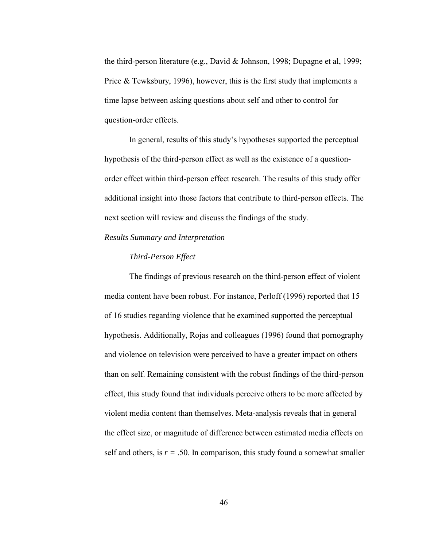the third-person literature (e.g., David & Johnson, 1998; Dupagne et al, 1999; Price & Tewksbury, 1996), however, this is the first study that implements a time lapse between asking questions about self and other to control for question-order effects.

In general, results of this study's hypotheses supported the perceptual hypothesis of the third-person effect as well as the existence of a questionorder effect within third-person effect research. The results of this study offer additional insight into those factors that contribute to third-person effects. The next section will review and discuss the findings of the study.

## *Results Summary and Interpretation*

#### *Third-Person Effect*

The findings of previous research on the third-person effect of violent media content have been robust. For instance, Perloff (1996) reported that 15 of 16 studies regarding violence that he examined supported the perceptual hypothesis. Additionally, Rojas and colleagues (1996) found that pornography and violence on television were perceived to have a greater impact on others than on self. Remaining consistent with the robust findings of the third-person effect, this study found that individuals perceive others to be more affected by violent media content than themselves. Meta-analysis reveals that in general the effect size, or magnitude of difference between estimated media effects on self and others, is  $r = .50$ . In comparison, this study found a somewhat smaller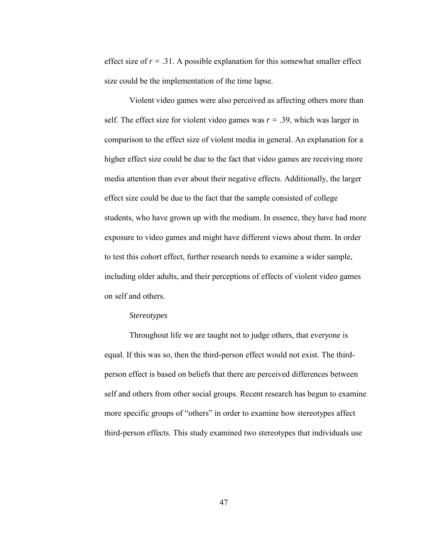effect size of  $r = .31$ . A possible explanation for this somewhat smaller effect size could be the implementation of the time lapse.

Violent video games were also perceived as affecting others more than self. The effect size for violent video games was  $r = .39$ , which was larger in comparison to the effect size of violent media in general. An explanation for a higher effect size could be due to the fact that video games are receiving more media attention than ever about their negative effects. Additionally, the larger effect size could be due to the fact that the sample consisted of college students, who have grown up with the medium. In essence, they have had more exposure to video games and might have different views about them. In order to test this cohort effect, further research needs to examine a wider sample, including older adults, and their perceptions of effects of violent video games on self and others.

#### *Stereotypes*

Throughout life we are taught not to judge others, that everyone is equal. If this was so, then the third-person effect would not exist. The thirdperson effect is based on beliefs that there are perceived differences between self and others from other social groups. Recent research has begun to examine more specific groups of "others" in order to examine how stereotypes affect third-person effects. This study examined two stereotypes that individuals use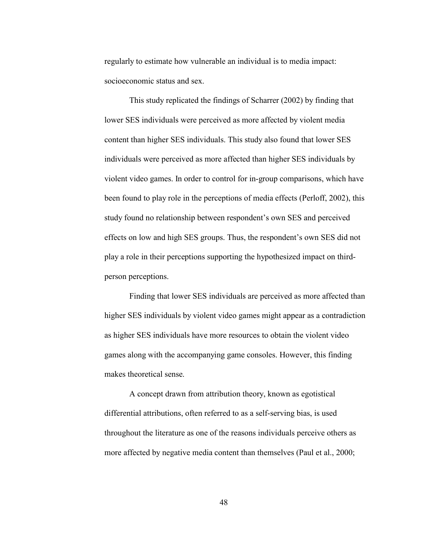regularly to estimate how vulnerable an individual is to media impact: socioeconomic status and sex.

This study replicated the findings of Scharrer (2002) by finding that lower SES individuals were perceived as more affected by violent media content than higher SES individuals. This study also found that lower SES individuals were perceived as more affected than higher SES individuals by violent video games. In order to control for in-group comparisons, which have been found to play role in the perceptions of media effects (Perloff, 2002), this study found no relationship between respondent's own SES and perceived effects on low and high SES groups. Thus, the respondent's own SES did not play a role in their perceptions supporting the hypothesized impact on thirdperson perceptions.

Finding that lower SES individuals are perceived as more affected than higher SES individuals by violent video games might appear as a contradiction as higher SES individuals have more resources to obtain the violent video games along with the accompanying game consoles. However, this finding makes theoretical sense.

A concept drawn from attribution theory, known as egotistical differential attributions, often referred to as a self-serving bias, is used throughout the literature as one of the reasons individuals perceive others as more affected by negative media content than themselves (Paul et al., 2000;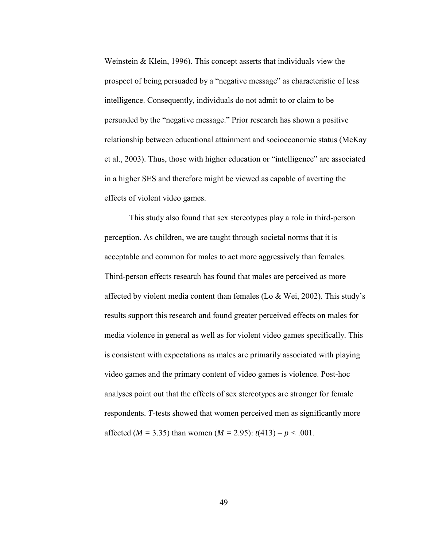Weinstein & Klein, 1996). This concept asserts that individuals view the prospect of being persuaded by a "negative message" as characteristic of less intelligence. Consequently, individuals do not admit to or claim to be persuaded by the "negative message." Prior research has shown a positive relationship between educational attainment and socioeconomic status (McKay et al., 2003). Thus, those with higher education or "intelligence" are associated in a higher SES and therefore might be viewed as capable of averting the effects of violent video games.

This study also found that sex stereotypes play a role in third-person perception. As children, we are taught through societal norms that it is acceptable and common for males to act more aggressively than females. Third-person effects research has found that males are perceived as more affected by violent media content than females (Lo & Wei, 2002). This study's results support this research and found greater perceived effects on males for media violence in general as well as for violent video games specifically. This is consistent with expectations as males are primarily associated with playing video games and the primary content of video games is violence. Post-hoc analyses point out that the effects of sex stereotypes are stronger for female respondents. *T*-tests showed that women perceived men as significantly more affected ( $M = 3.35$ ) than women ( $M = 2.95$ ):  $t(413) = p < .001$ .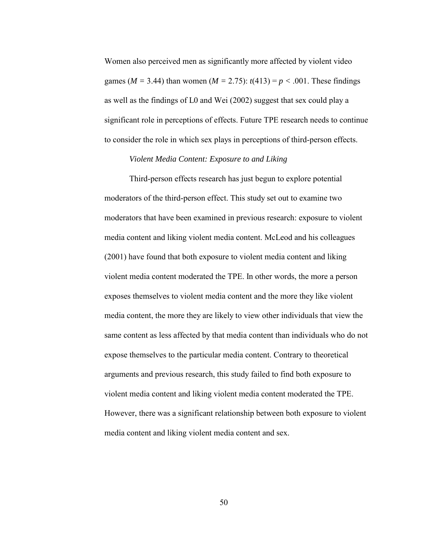Women also perceived men as significantly more affected by violent video games ( $M = 3.44$ ) than women ( $M = 2.75$ ):  $t(413) = p < .001$ . These findings as well as the findings of L0 and Wei (2002) suggest that sex could play a significant role in perceptions of effects. Future TPE research needs to continue to consider the role in which sex plays in perceptions of third-person effects.

## *Violent Media Content: Exposure to and Liking*

Third-person effects research has just begun to explore potential moderators of the third-person effect. This study set out to examine two moderators that have been examined in previous research: exposure to violent media content and liking violent media content. McLeod and his colleagues (2001) have found that both exposure to violent media content and liking violent media content moderated the TPE. In other words, the more a person exposes themselves to violent media content and the more they like violent media content, the more they are likely to view other individuals that view the same content as less affected by that media content than individuals who do not expose themselves to the particular media content. Contrary to theoretical arguments and previous research, this study failed to find both exposure to violent media content and liking violent media content moderated the TPE. However, there was a significant relationship between both exposure to violent media content and liking violent media content and sex.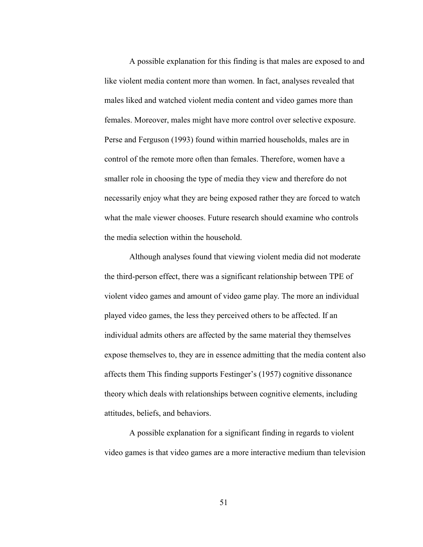A possible explanation for this finding is that males are exposed to and like violent media content more than women. In fact, analyses revealed that males liked and watched violent media content and video games more than females. Moreover, males might have more control over selective exposure. Perse and Ferguson (1993) found within married households, males are in control of the remote more often than females. Therefore, women have a smaller role in choosing the type of media they view and therefore do not necessarily enjoy what they are being exposed rather they are forced to watch what the male viewer chooses. Future research should examine who controls the media selection within the household.

Although analyses found that viewing violent media did not moderate the third-person effect, there was a significant relationship between TPE of violent video games and amount of video game play. The more an individual played video games, the less they perceived others to be affected. If an individual admits others are affected by the same material they themselves expose themselves to, they are in essence admitting that the media content also affects them This finding supports Festinger's (1957) cognitive dissonance theory which deals with relationships between cognitive elements, including attitudes, beliefs, and behaviors.

A possible explanation for a significant finding in regards to violent video games is that video games are a more interactive medium than television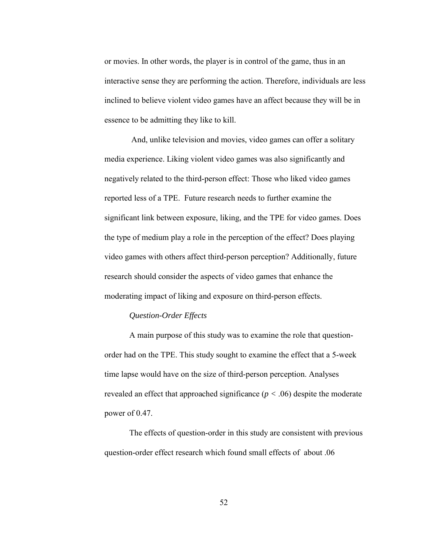or movies. In other words, the player is in control of the game, thus in an interactive sense they are performing the action. Therefore, individuals are less inclined to believe violent video games have an affect because they will be in essence to be admitting they like to kill.

 And, unlike television and movies, video games can offer a solitary media experience. Liking violent video games was also significantly and negatively related to the third-person effect: Those who liked video games reported less of a TPE. Future research needs to further examine the significant link between exposure, liking, and the TPE for video games. Does the type of medium play a role in the perception of the effect? Does playing video games with others affect third-person perception? Additionally, future research should consider the aspects of video games that enhance the moderating impact of liking and exposure on third-person effects.

## *Question-Order Effects*

A main purpose of this study was to examine the role that questionorder had on the TPE. This study sought to examine the effect that a 5-week time lapse would have on the size of third-person perception. Analyses revealed an effect that approached significance  $(p < .06)$  despite the moderate power of 0.47.

The effects of question-order in this study are consistent with previous question-order effect research which found small effects of about .06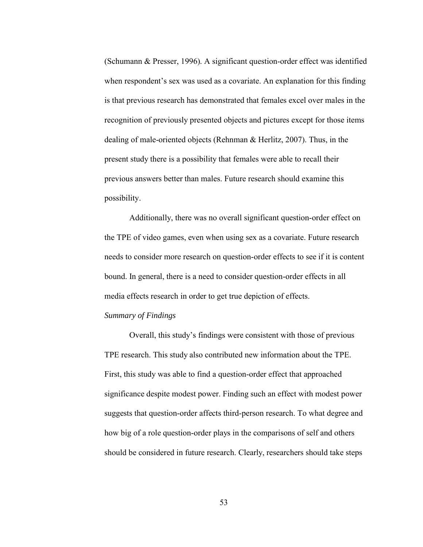(Schumann & Presser, 1996). A significant question-order effect was identified when respondent's sex was used as a covariate. An explanation for this finding is that previous research has demonstrated that females excel over males in the recognition of previously presented objects and pictures except for those items dealing of male-oriented objects (Rehnman & Herlitz, 2007). Thus, in the present study there is a possibility that females were able to recall their previous answers better than males. Future research should examine this possibility.

Additionally, there was no overall significant question-order effect on the TPE of video games, even when using sex as a covariate. Future research needs to consider more research on question-order effects to see if it is content bound. In general, there is a need to consider question-order effects in all media effects research in order to get true depiction of effects.

## *Summary of Findings*

Overall, this study's findings were consistent with those of previous TPE research. This study also contributed new information about the TPE. First, this study was able to find a question-order effect that approached significance despite modest power. Finding such an effect with modest power suggests that question-order affects third-person research. To what degree and how big of a role question-order plays in the comparisons of self and others should be considered in future research. Clearly, researchers should take steps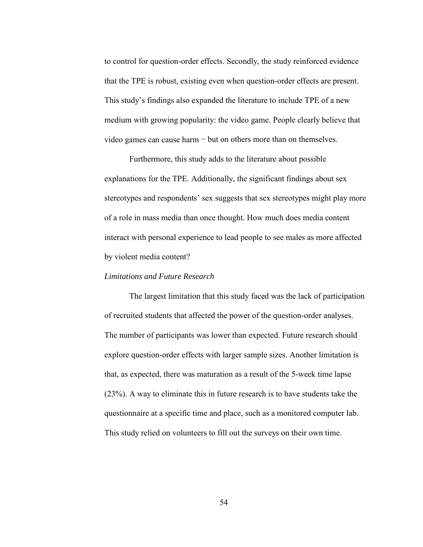to control for question-order effects. Secondly, the study reinforced evidence that the TPE is robust, existing even when question-order effects are present. This study's findings also expanded the literature to include TPE of a new medium with growing popularity: the video game. People clearly believe that video games can cause harm − but on others more than on themselves.

Furthermore, this study adds to the literature about possible explanations for the TPE. Additionally, the significant findings about sex stereotypes and respondents' sex suggests that sex stereotypes might play more of a role in mass media than once thought. How much does media content interact with personal experience to lead people to see males as more affected by violent media content?

#### *Limitations and Future Research*

The largest limitation that this study faced was the lack of participation of recruited students that affected the power of the question-order analyses. The number of participants was lower than expected. Future research should explore question-order effects with larger sample sizes. Another limitation is that, as expected, there was maturation as a result of the 5-week time lapse (23%). A way to eliminate this in future research is to have students take the questionnaire at a specific time and place, such as a monitored computer lab. This study relied on volunteers to fill out the surveys on their own time.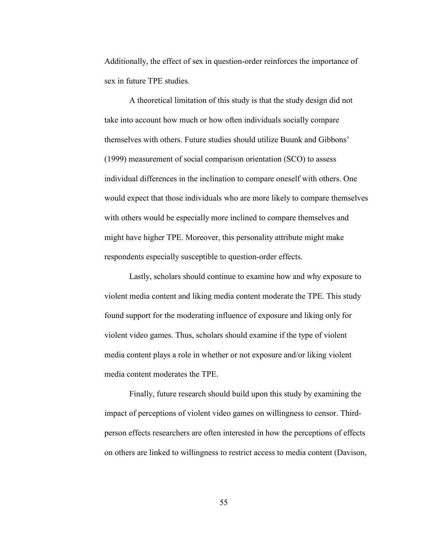Additionally, the effect of sex in question-order reinforces the importance of sex in future TPE studies.

A theoretical limitation of this study is that the study design did not take into account how much or how often individuals socially compare themselves with others. Future studies should utilize Buunk and Gibbons' (1999) measurement of social comparison orientation (SCO) to assess individual differences in the inclination to compare oneself with others. One would expect that those individuals who are more likely to compare themselves with others would be especially more inclined to compare themselves and might have higher TPE. Moreover, this personality attribute might make respondents especially susceptible to question-order effects.

Lastly, scholars should continue to examine how and why exposure to violent media content and liking media content moderate the TPE. This study found support for the moderating influence of exposure and liking only for violent video games. Thus, scholars should examine if the type of violent media content plays a role in whether or not exposure and/or liking violent media content moderates the TPE.

Finally, future research should build upon this study by examining the impact of perceptions of violent video games on willingness to censor. Thirdperson effects researchers are often interested in how the perceptions of effects on others are linked to willingness to restrict access to media content (Davison,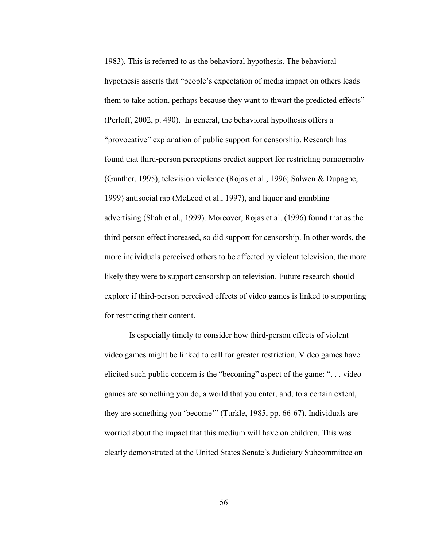1983). This is referred to as the behavioral hypothesis. The behavioral hypothesis asserts that "people's expectation of media impact on others leads them to take action, perhaps because they want to thwart the predicted effects" (Perloff, 2002, p. 490). In general, the behavioral hypothesis offers a "provocative" explanation of public support for censorship. Research has found that third-person perceptions predict support for restricting pornography (Gunther, 1995), television violence (Rojas et al., 1996; Salwen & Dupagne, 1999) antisocial rap (McLeod et al., 1997), and liquor and gambling advertising (Shah et al., 1999). Moreover, Rojas et al. (1996) found that as the third-person effect increased, so did support for censorship. In other words, the more individuals perceived others to be affected by violent television, the more likely they were to support censorship on television. Future research should explore if third-person perceived effects of video games is linked to supporting for restricting their content.

Is especially timely to consider how third-person effects of violent video games might be linked to call for greater restriction. Video games have elicited such public concern is the "becoming" aspect of the game: ". . . video games are something you do, a world that you enter, and, to a certain extent, they are something you 'become'" (Turkle, 1985, pp. 66-67). Individuals are worried about the impact that this medium will have on children. This was clearly demonstrated at the United States Senate's Judiciary Subcommittee on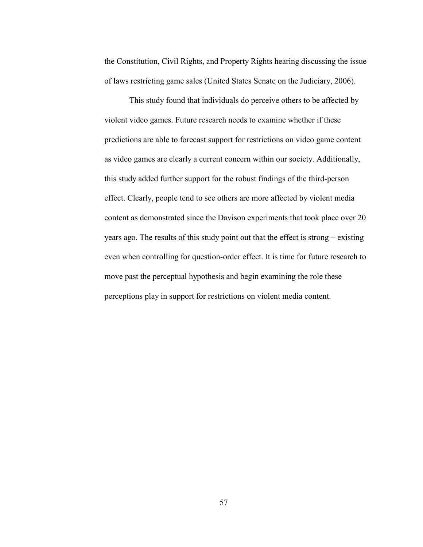the Constitution, Civil Rights, and Property Rights hearing discussing the issue of laws restricting game sales (United States Senate on the Judiciary, 2006).

This study found that individuals do perceive others to be affected by violent video games. Future research needs to examine whether if these predictions are able to forecast support for restrictions on video game content as video games are clearly a current concern within our society. Additionally, this study added further support for the robust findings of the third-person effect. Clearly, people tend to see others are more affected by violent media content as demonstrated since the Davison experiments that took place over 20 years ago. The results of this study point out that the effect is strong − existing even when controlling for question-order effect. It is time for future research to move past the perceptual hypothesis and begin examining the role these perceptions play in support for restrictions on violent media content.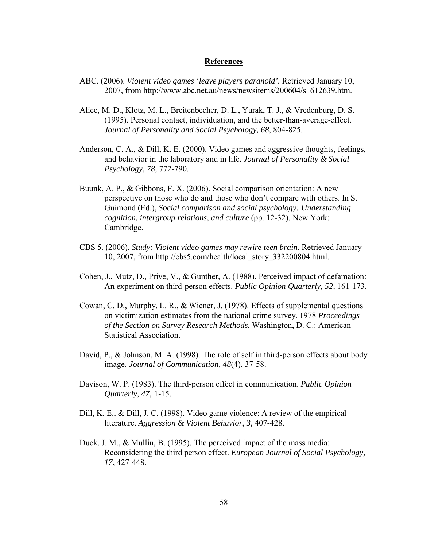#### **References**

- ABC. (2006). *Violent video games 'leave players paranoid'.* Retrieved January 10, 2007, from http://www.abc.net.au/news/newsitems/200604/s1612639.htm.
- Alice, M. D., Klotz, M. L., Breitenbecher, D. L., Yurak, T. J., & Vredenburg, D. S. (1995). Personal contact, individuation, and the better-than-average-effect. *Journal of Personality and Social Psychology, 68,* 804-825.
- Anderson, C. A., & Dill, K. E. (2000). Video games and aggressive thoughts, feelings, and behavior in the laboratory and in life. *Journal of Personality & Social Psychology*, *78,* 772-790.
- Buunk, A. P., & Gibbons, F. X. (2006). Social comparison orientation: A new perspective on those who do and those who don't compare with others. In S. Guimond (Ed.), *Social comparison and social psychology: Understanding cognition, intergroup relations, and culture* (pp. 12-32). New York: Cambridge.
- CBS 5. (2006). *Study: Violent video games may rewire teen brain.* Retrieved January 10, 2007, from http://cbs5.com/health/local\_story\_332200804.html.
- Cohen, J., Mutz, D., Prive, V., & Gunther, A. (1988). Perceived impact of defamation: An experiment on third-person effects. *Public Opinion Quarterly, 52,* 161-173.
- Cowan, C. D., Murphy, L. R., & Wiener, J. (1978). Effects of supplemental questions on victimization estimates from the national crime survey. 1978 *Proceedings of the Section on Survey Research Methods.* Washington, D. C.: American Statistical Association.
- David, P., & Johnson, M. A. (1998). The role of self in third-person effects about body image. *Journal of Communication, 48*(4), 37-58.
- Davison, W. P. (1983). The third-person effect in communication. *Public Opinion Quarterly, 47*, 1-15.
- Dill, K. E., & Dill, J. C. (1998). Video game violence: A review of the empirical literature. *Aggression & Violent Behavior*, *3,* 407-428.
- Duck, J. M., & Mullin, B. (1995). The perceived impact of the mass media: Reconsidering the third person effect. *European Journal of Social Psychology, 17*, 427-448.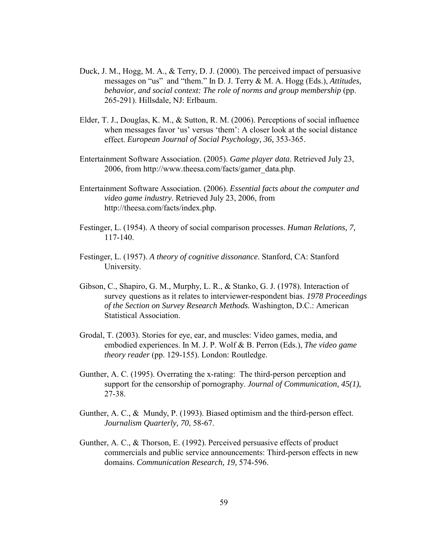- Duck, J. M., Hogg, M. A., & Terry, D. J. (2000). The perceived impact of persuasive messages on "us" and "them." In D. J. Terry & M. A. Hogg (Eds.), *Attitudes, behavior, and social context: The role of norms and group membership* (pp. 265-291). Hillsdale, NJ: Erlbaum.
- Elder, T. J., Douglas, K. M., & Sutton, R. M. (2006). Perceptions of social influence when messages favor 'us' versus 'them': A closer look at the social distance effect. *European Journal of Social Psychology, 36,* 353-365.
- Entertainment Software Association. (2005). *Game player data*. Retrieved July 23, 2006, from http://www.theesa.com/facts/gamer\_data.php.
- Entertainment Software Association. (2006). *Essential facts about the computer and video game industry*. Retrieved July 23, 2006, from http://theesa.com/facts/index.php.
- Festinger, L. (1954). A theory of social comparison processes. *Human Relations, 7,*  117-140.
- Festinger, L. (1957). *A theory of cognitive dissonance*. Stanford, CA: Stanford University.
- Gibson, C., Shapiro, G. M., Murphy, L. R., & Stanko, G. J. (1978). Interaction of survey questions as it relates to interviewer-respondent bias. *1978 Proceedings of the Section on Survey Research Methods.* Washington, D.C.: American Statistical Association.
- Grodal, T. (2003). Stories for eye, ear, and muscles: Video games, media, and embodied experiences. In M. J. P. Wolf & B. Perron (Eds.), *The video game theory reader* (pp. 129-155). London: Routledge.
- Gunther, A. C. (1995). Overrating the x-rating: The third-person perception and support for the censorship of pornography. *Journal of Communication, 45(1)*, 27-38.
- Gunther, A. C., & Mundy, P. (1993). Biased optimism and the third-person effect. *Journalism Quarterly, 70*, 58-67.
- Gunther, A. C., & Thorson, E. (1992). Perceived persuasive effects of product commercials and public service announcements: Third-person effects in new domains. *Communication Research, 19,* 574-596.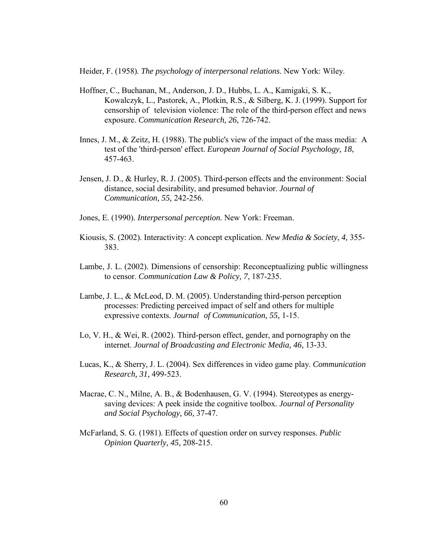Heider, F. (1958). *The psychology of interpersonal relations*. New York: Wiley.

- Hoffner, C., Buchanan, M., Anderson, J. D., Hubbs, L. A., Kamigaki, S. K., Kowalczyk, L., Pastorek, A., Plotkin, R.S., & Silberg, K. J. (1999). Support for censorship of television violence: The role of the third-person effect and news exposure. *Communication Research, 26,* 726-742.
- Innes, J. M., & Zeitz, H. (1988). The public's view of the impact of the mass media: A test of the 'third-person' effect. *European Journal of Social Psychology, 18*, 457-463.
- Jensen, J. D., & Hurley, R. J. (2005). Third-person effects and the environment: Social distance, social desirability, and presumed behavior. *Journal of Communication, 55,* 242-256.
- Jones, E. (1990). *Interpersonal perception*. New York: Freeman.
- Kiousis, S. (2002). Interactivity: A concept explication. *New Media & Society*, *4,* 355- 383.
- Lambe, J. L. (2002). Dimensions of censorship: Reconceptualizing public willingness to censor. *Communication Law & Policy, 7*, 187-235.
- Lambe, J. L., & McLeod, D. M. (2005). Understanding third-person perception processes: Predicting perceived impact of self and others for multiple expressive contexts. *Journal of Communication, 55,* 1-15.
- Lo, V. H., & Wei, R. (2002). Third-person effect, gender, and pornography on the internet. *Journal of Broadcasting and Electronic Media, 46,* 13-33.
- Lucas, K., & Sherry, J. L. (2004). Sex differences in video game play. *Communication Research, 31,* 499-523.
- Macrae, C. N., Milne, A. B., & Bodenhausen, G. V. (1994). Stereotypes as energysaving devices: A peek inside the cognitive toolbox. *Journal of Personality and Social Psychology, 66,* 37-47.
- McFarland, S. G. (1981). Effects of question order on survey responses. *Public Opinion Quarterly, 45,* 208-215.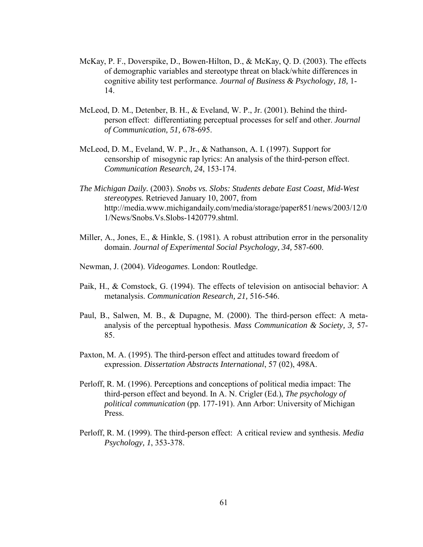- McKay, P. F., Doverspike, D., Bowen-Hilton, D., & McKay, Q. D. (2003). The effects of demographic variables and stereotype threat on black/white differences in cognitive ability test performance. *Journal of Business & Psychology, 18,* 1- 14.
- McLeod, D. M., Detenber, B. H., & Eveland, W. P., Jr. (2001). Behind the thirdperson effect: differentiating perceptual processes for self and other. *Journal of Communication, 51,* 678-695.
- McLeod, D. M., Eveland, W. P., Jr., & Nathanson, A. I. (1997). Support for censorship of misogynic rap lyrics: An analysis of the third-person effect. *Communication Research*, *24*, 153-174.
- *The Michigan Daily.* (2003). *Snobs vs. Slobs: Students debate East Coast, Mid-West stereotypes.* Retrieved January 10, 2007, from http://media.www.michigandaily.com/media/storage/paper851/news/2003/12/0 1/News/Snobs.Vs.Slobs-1420779.shtml.
- Miller, A., Jones, E., & Hinkle, S. (1981). A robust attribution error in the personality domain. *Journal of Experimental Social Psychology, 34,* 587-600.
- Newman, J. (2004). *Videogames*. London: Routledge.
- Paik, H., & Comstock, G. (1994). The effects of television on antisocial behavior: A metanalysis. *Communication Research, 21,* 516-546.
- Paul, B., Salwen, M. B., & Dupagne, M. (2000). The third-person effect: A metaanalysis of the perceptual hypothesis. *Mass Communication & Society, 3,* 57- 85.
- Paxton, M. A. (1995). The third-person effect and attitudes toward freedom of expression. *Dissertation Abstracts International*, 57 (02), 498A.
- Perloff, R. M. (1996). Perceptions and conceptions of political media impact: The third-person effect and beyond. In A. N. Crigler (Ed.), *The psychology of political communication* (pp. 177-191). Ann Arbor: University of Michigan Press.
- Perloff, R. M. (1999). The third-person effect: A critical review and synthesis. *Media Psychology, 1*, 353-378.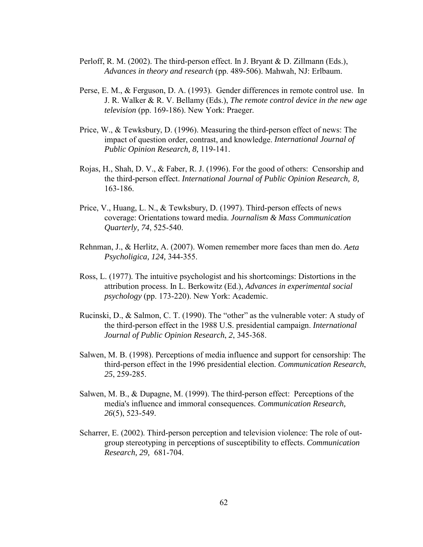- Perloff, R. M. (2002). The third-person effect. In J. Bryant & D. Zillmann (Eds.), *Advances in theory and research* (pp. 489-506). Mahwah, NJ: Erlbaum.
- Perse, E. M., & Ferguson, D. A. (1993). Gender differences in remote control use. In J. R. Walker & R. V. Bellamy (Eds.), *The remote control device in the new age television* (pp. 169-186). New York: Praeger.
- Price, W., & Tewksbury, D. (1996). Measuring the third-person effect of news: The impact of question order, contrast, and knowledge. *International Journal of Public Opinion Research, 8,* 119-141.
- Rojas, H., Shah, D. V., & Faber, R. J. (1996). For the good of others: Censorship and the third-person effect. *International Journal of Public Opinion Research, 8,* 163-186.
- Price, V., Huang, L. N., & Tewksbury, D. (1997). Third-person effects of news coverage: Orientations toward media. *Journalism & Mass Communication Quarterly, 74*, 525-540.
- Rehnman, J., & Herlitz, A. (2007). Women remember more faces than men do. *Aeta Psycholigica, 124,* 344-355.
- Ross, L. (1977). The intuitive psychologist and his shortcomings: Distortions in the attribution process. In L. Berkowitz (Ed.), *Advances in experimental social psychology* (pp. 173-220). New York: Academic.
- Rucinski, D., & Salmon, C. T. (1990). The "other" as the vulnerable voter: A study of the third-person effect in the 1988 U.S. presidential campaign. *International Journal of Public Opinion Research*, *2*, 345-368.
- Salwen, M. B. (1998). Perceptions of media influence and support for censorship: The third-person effect in the 1996 presidential election. *Communication Research*, *25*, 259-285.
- Salwen, M. B., & Dupagne, M. (1999). The third-person effect: Perceptions of the media's influence and immoral consequences. *Communication Research, 26*(5), 523-549.
- Scharrer, E. (2002). Third-person perception and television violence: The role of outgroup stereotyping in perceptions of susceptibility to effects. *Communication Research, 29,* 681-704.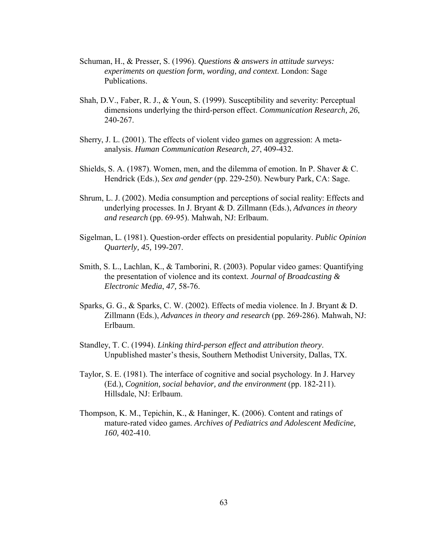- Schuman, H., & Presser, S. (1996). *Questions & answers in attitude surveys: experiments on question form, wording, and context*. London: Sage Publications.
- Shah, D.V., Faber, R. J., & Youn, S. (1999). Susceptibility and severity: Perceptual dimensions underlying the third-person effect. *Communication Research, 26*, 240-267.
- Sherry, J. L. (2001). The effects of violent video games on aggression: A metaanalysis. *Human Communication Research, 27*, 409-432.
- Shields, S. A. (1987). Women, men, and the dilemma of emotion. In P. Shaver & C. Hendrick (Eds.), *Sex and gender* (pp. 229-250). Newbury Park, CA: Sage.
- Shrum, L. J. (2002). Media consumption and perceptions of social reality: Effects and underlying processes. In J. Bryant & D. Zillmann (Eds.), *Advances in theory and research* (pp. 69-95). Mahwah, NJ: Erlbaum.
- Sigelman, L. (1981). Question-order effects on presidential popularity. *Public Opinion Quarterly, 45,* 199-207.
- Smith, S. L., Lachlan, K., & Tamborini, R. (2003). Popular video games: Quantifying the presentation of violence and its context. *Journal of Broadcasting & Electronic Media*, *47,* 58-76.
- Sparks, G. G., & Sparks, C. W. (2002). Effects of media violence. In J. Bryant & D. Zillmann (Eds.), *Advances in theory and research* (pp. 269-286). Mahwah, NJ: Erlbaum.
- Standley, T. C. (1994). *Linking third-person effect and attribution theory*. Unpublished master's thesis, Southern Methodist University, Dallas, TX.
- Taylor, S. E. (1981). The interface of cognitive and social psychology. In J. Harvey (Ed.), *Cognition, social behavior, and the environment* (pp. 182-211). Hillsdale, NJ: Erlbaum.
- Thompson, K. M., Tepichin, K., & Haninger, K. (2006). Content and ratings of mature-rated video games. *Archives of Pediatrics and Adolescent Medicine, 160,* 402-410.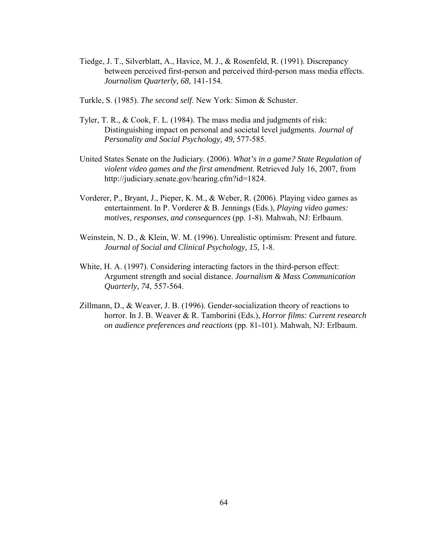- Tiedge, J. T., Silverblatt, A., Havice, M. J., & Rosenfeld, R. (1991). Discrepancy between perceived first-person and perceived third-person mass media effects. *Journalism Quarterly, 68*, 141-154.
- Turkle, S. (1985). *The second self*. New York: Simon & Schuster.
- Tyler, T. R., & Cook, F. L. (1984). The mass media and judgments of risk: Distinguishing impact on personal and societal level judgments. *Journal of Personality and Social Psychology, 49,* 577-585.
- United States Senate on the Judiciary. (2006). *What's in a game? State Regulation of violent video games and the first amendment.* Retrieved July 16, 2007, from http://judiciary.senate.gov/hearing.cfm?id=1824.
- Vorderer, P., Bryant, J., Pieper, K. M., & Weber, R. (2006). Playing video games as entertainment. In P. Vorderer & B. Jennings (Eds.), *Playing video games: motives, responses, and consequences* (pp. 1-8). Mahwah, NJ: Erlbaum.
- Weinstein, N. D., & Klein, W. M. (1996). Unrealistic optimism: Present and future. *Journal of Social and Clinical Psychology, 15,* 1-8.
- White, H. A. (1997). Considering interacting factors in the third-person effect: Argument strength and social distance. *Journalism & Mass Communication Quarterly, 74*, 557-564.
- Zillmann, D., & Weaver, J. B. (1996). Gender-socialization theory of reactions to horror. In J. B. Weaver & R. Tamborini (Eds.), *Horror films: Current research on audience preferences and reactions* (pp. 81-101). Mahwah, NJ: Erlbaum.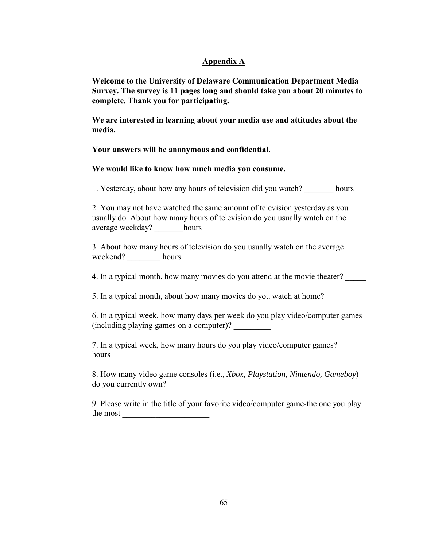# **Appendix A**

**Welcome to the University of Delaware Communication Department Media Survey. The survey is 11 pages long and should take you about 20 minutes to complete. Thank you for participating.**

**We are interested in learning about your media use and attitudes about the media.** 

**Your answers will be anonymous and confidential.**

# **We would like to know how much media you consume.**

1. Yesterday, about how any hours of television did you watch? hours

2. You may not have watched the same amount of television yesterday as you usually do. About how many hours of television do you usually watch on the average weekday? hours

3. About how many hours of television do you usually watch on the average weekend? \_\_\_\_\_\_\_\_ hours

4. In a typical month, how many movies do you attend at the movie theater?

5. In a typical month, about how many movies do you watch at home?

6. In a typical week, how many days per week do you play video/computer games (including playing games on a computer)? \_\_\_\_\_\_\_\_\_

7. In a typical week, how many hours do you play video/computer games? hours

8. How many video game consoles (i.e., *Xbox, Playstation, Nintendo, Gameboy*) do you currently own? \_\_\_\_\_\_\_\_\_

9. Please write in the title of your favorite video/computer game-the one you play the most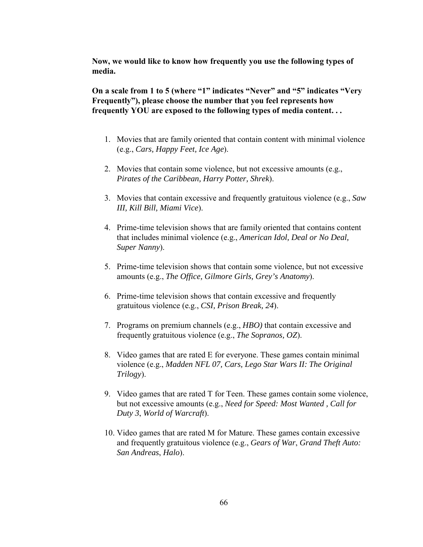**Now, we would like to know how frequently you use the following types of media.**

**On a scale from 1 to 5 (where "1" indicates "Never" and "5" indicates "Very Frequently"), please choose the number that you feel represents how frequently YOU are exposed to the following types of media content. . .**

- 1. Movies that are family oriented that contain content with minimal violence (e.g., *Cars, Happy Feet, Ice Age*).
- 2. Movies that contain some violence, but not excessive amounts (e.g., *Pirates of the Caribbean, Harry Potter, Shrek*).
- 3. Movies that contain excessive and frequently gratuitous violence (e.g., *Saw III, Kill Bill, Miami Vice*).
- 4. Prime-time television shows that are family oriented that contains content that includes minimal violence (e.g., *American Idol, Deal or No Deal, Super Nanny*).
- 5. Prime-time television shows that contain some violence, but not excessive amounts (e.g., *The Office, Gilmore Girls, Grey's Anatomy*).
- 6. Prime-time television shows that contain excessive and frequently gratuitous violence (e.g., *CSI, Prison Break, 24*).
- 7. Programs on premium channels (e.g., *HBO)* that contain excessive and frequently gratuitous violence (e.g., *The Sopranos, OZ*).
- 8. Video games that are rated E for everyone. These games contain minimal violence (e.g., *Madden NFL 07, Cars, Lego Star Wars II: The Original Trilogy*).
- 9. Video games that are rated T for Teen. These games contain some violence, but not excessive amounts (e.g., *Need for Speed: Most Wanted , Call for Duty 3*, *World of Warcraft*).
- 10. Video games that are rated M for Mature. These games contain excessive and frequently gratuitous violence (e.g., *Gears of War*, *Grand Theft Auto: San Andreas*, *Halo*).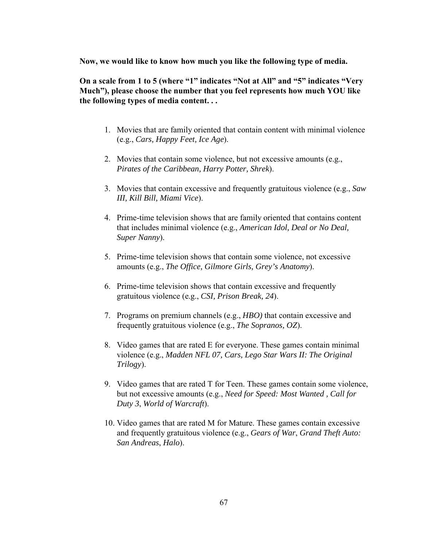**Now, we would like to know how much you like the following type of media.**

**On a scale from 1 to 5 (where "1" indicates "Not at All" and "5" indicates "Very Much"), please choose the number that you feel represents how much YOU like the following types of media content. . .**

- 1. Movies that are family oriented that contain content with minimal violence (e.g., *Cars, Happy Feet, Ice Age*).
- 2. Movies that contain some violence, but not excessive amounts (e.g., *Pirates of the Caribbean, Harry Potter, Shrek*).
- 3. Movies that contain excessive and frequently gratuitous violence (e.g., *Saw III, Kill Bill, Miami Vice*).
- 4. Prime-time television shows that are family oriented that contains content that includes minimal violence (e.g., *American Idol, Deal or No Deal, Super Nanny*).
- 5. Prime-time television shows that contain some violence, not excessive amounts (e.g., *The Office, Gilmore Girls, Grey's Anatomy*).
- 6. Prime-time television shows that contain excessive and frequently gratuitous violence (e.g., *CSI, Prison Break, 24*).
- 7. Programs on premium channels (e.g., *HBO)* that contain excessive and frequently gratuitous violence (e.g., *The Sopranos, OZ*).
- 8. Video games that are rated E for everyone. These games contain minimal violence (e.g., *Madden NFL 07, Cars, Lego Star Wars II: The Original Trilogy*).
- 9. Video games that are rated T for Teen. These games contain some violence, but not excessive amounts (e.g., *Need for Speed: Most Wanted , Call for Duty 3*, *World of Warcraft*).
- 10. Video games that are rated M for Mature. These games contain excessive and frequently gratuitous violence (e.g., *Gears of War*, *Grand Theft Auto: San Andreas*, *Halo*).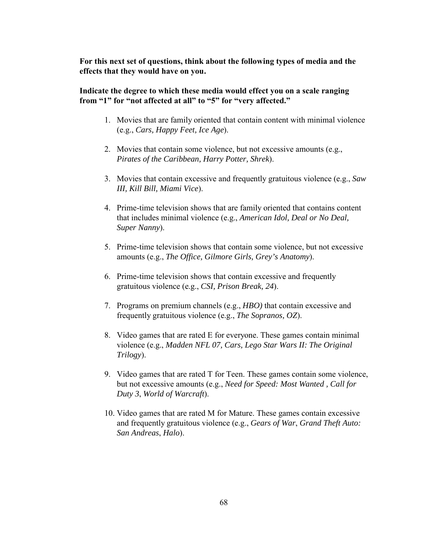**For this next set of questions, think about the following types of media and the effects that they would have on you.**

# **Indicate the degree to which these media would effect you on a scale ranging from "1" for "not affected at all" to "5" for "very affected."**

- 1. Movies that are family oriented that contain content with minimal violence (e.g., *Cars, Happy Feet, Ice Age*).
- 2. Movies that contain some violence, but not excessive amounts (e.g., *Pirates of the Caribbean, Harry Potter, Shrek*).
- 3. Movies that contain excessive and frequently gratuitous violence (e.g., *Saw III, Kill Bill, Miami Vice*).
- 4. Prime-time television shows that are family oriented that contains content that includes minimal violence (e.g., *American Idol, Deal or No Deal, Super Nanny*).
- 5. Prime-time television shows that contain some violence, but not excessive amounts (e.g., *The Office, Gilmore Girls, Grey's Anatomy*).
- 6. Prime-time television shows that contain excessive and frequently gratuitous violence (e.g., *CSI, Prison Break, 24*).
- 7. Programs on premium channels (e.g., *HBO)* that contain excessive and frequently gratuitous violence (e.g., *The Sopranos, OZ*).
- 8. Video games that are rated E for everyone. These games contain minimal violence (e.g., *Madden NFL 07, Cars, Lego Star Wars II: The Original Trilogy*).
- 9. Video games that are rated T for Teen. These games contain some violence, but not excessive amounts (e.g., *Need for Speed: Most Wanted , Call for Duty 3*, *World of Warcraft*).
- 10. Video games that are rated M for Mature. These games contain excessive and frequently gratuitous violence (e.g., *Gears of War*, *Grand Theft Auto: San Andreas*, *Halo*).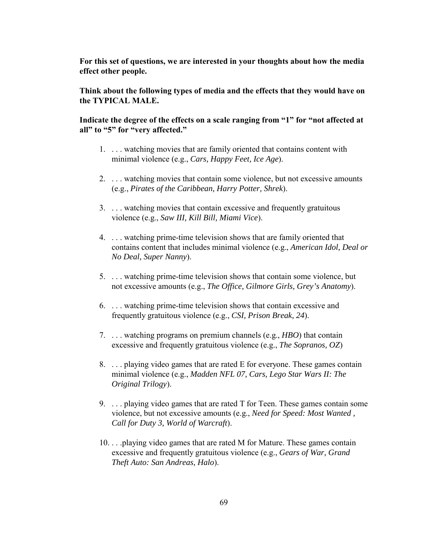**For this set of questions, we are interested in your thoughts about how the media effect other people.**

**Think about the following types of media and the effects that they would have on the TYPICAL MALE.**

- 1. . . . watching movies that are family oriented that contains content with minimal violence (e.g., *Cars, Happy Feet, Ice Age*).
- 2. . . . watching movies that contain some violence, but not excessive amounts (e.g., *Pirates of the Caribbean, Harry Potter, Shrek*).
- 3. . . . watching movies that contain excessive and frequently gratuitous violence (e.g., *Saw III, Kill Bill, Miami Vice*).
- 4. . . . watching prime-time television shows that are family oriented that contains content that includes minimal violence (e.g., *American Idol, Deal or No Deal, Super Nanny*).
- 5. . . . watching prime-time television shows that contain some violence, but not excessive amounts (e.g., *The Office, Gilmore Girls, Grey's Anatomy*).
- 6. . . . watching prime-time television shows that contain excessive and frequently gratuitous violence (e.g., *CSI, Prison Break, 24*).
- 7. . . . watching programs on premium channels (e.g., *HBO*) that contain excessive and frequently gratuitous violence (e.g., *The Sopranos, OZ*)
- 8. . . . playing video games that are rated E for everyone. These games contain minimal violence (e.g., *Madden NFL 07, Cars, Lego Star Wars II: The Original Trilogy*).
- 9. . . . playing video games that are rated T for Teen. These games contain some violence, but not excessive amounts (e.g., *Need for Speed: Most Wanted , Call for Duty 3, World of Warcraft*).
- 10. . . .playing video games that are rated M for Mature. These games contain excessive and frequently gratuitous violence (e.g., *Gears of War, Grand Theft Auto: San Andreas, Halo*).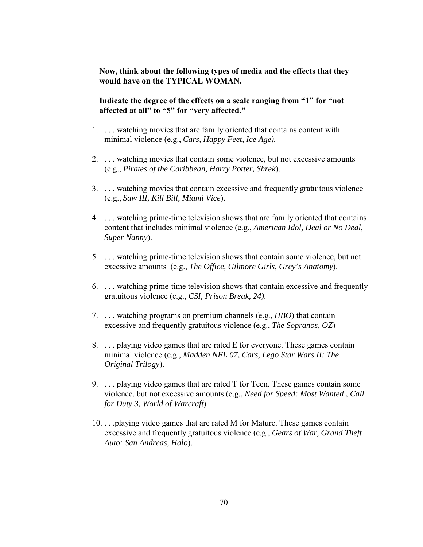**Now, think about the following types of media and the effects that they would have on the TYPICAL WOMAN.**

- 1. . . . watching movies that are family oriented that contains content with minimal violence (e.g., *Cars, Happy Feet, Ice Age).*
- 2. . . . watching movies that contain some violence, but not excessive amounts (e.g., *Pirates of the Caribbean, Harry Potter, Shrek*).
- 3. . . . watching movies that contain excessive and frequently gratuitous violence (e.g., *Saw III, Kill Bill, Miami Vice*).
- 4. . . . watching prime-time television shows that are family oriented that contains content that includes minimal violence (e.g., *American Idol, Deal or No Deal, Super Nanny*).
- 5. . . . watching prime-time television shows that contain some violence, but not excessive amounts (e.g., *The Office, Gilmore Girls, Grey's Anatomy*).
- 6. . . . watching prime-time television shows that contain excessive and frequently gratuitous violence (e.g., *CSI, Prison Break, 24).*
- 7. . . . watching programs on premium channels (e.g., *HBO*) that contain excessive and frequently gratuitous violence (e.g., *The Sopranos, OZ*)
- 8. . . . playing video games that are rated E for everyone. These games contain minimal violence (e.g., *Madden NFL 07, Cars, Lego Star Wars II: The Original Trilogy*).
- 9. . . . playing video games that are rated T for Teen. These games contain some violence, but not excessive amounts (e.g., *Need for Speed: Most Wanted , Call for Duty 3, World of Warcraft*).
- 10. . . .playing video games that are rated M for Mature. These games contain excessive and frequently gratuitous violence (e.g., *Gears of War, Grand Theft Auto: San Andreas, Halo*).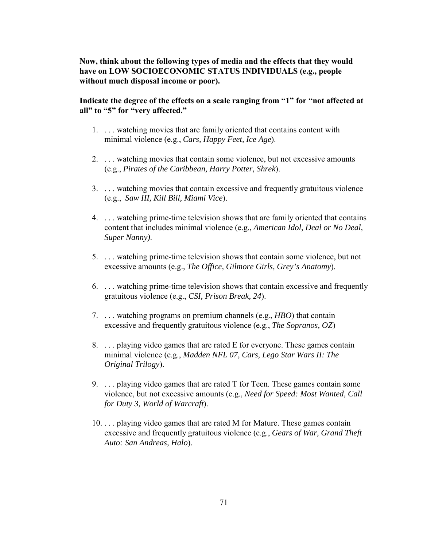**Now, think about the following types of media and the effects that they would have on LOW SOCIOECONOMIC STATUS INDIVIDUALS (e.g., people without much disposal income or poor).**

- 1. . . . watching movies that are family oriented that contains content with minimal violence (e.g., *Cars, Happy Feet, Ice Age*).
- 2. . . . watching movies that contain some violence, but not excessive amounts (e.g., *Pirates of the Caribbean, Harry Potter, Shrek*).
- 3. . . . watching movies that contain excessive and frequently gratuitous violence (e.g., *Saw III, Kill Bill, Miami Vice*).
- 4. . . . watching prime-time television shows that are family oriented that contains content that includes minimal violence (e.g., *American Idol, Deal or No Deal, Super Nanny)*.
- 5. . . . watching prime-time television shows that contain some violence, but not excessive amounts (e.g., *The Office, Gilmore Girls, Grey's Anatomy*).
- 6. . . . watching prime-time television shows that contain excessive and frequently gratuitous violence (e.g., *CSI, Prison Break, 24*).
- 7. . . . watching programs on premium channels (e.g., *HBO*) that contain excessive and frequently gratuitous violence (e.g., *The Sopranos, OZ*)
- 8. . . . playing video games that are rated E for everyone. These games contain minimal violence (e.g., *Madden NFL 07, Cars, Lego Star Wars II: The Original Trilogy*).
- 9. . . . playing video games that are rated T for Teen. These games contain some violence, but not excessive amounts (e.g., *Need for Speed: Most Wanted, Call for Duty 3, World of Warcraft*).
- 10. . . . playing video games that are rated M for Mature. These games contain excessive and frequently gratuitous violence (e.g., *Gears of War, Grand Theft Auto: San Andreas, Halo*).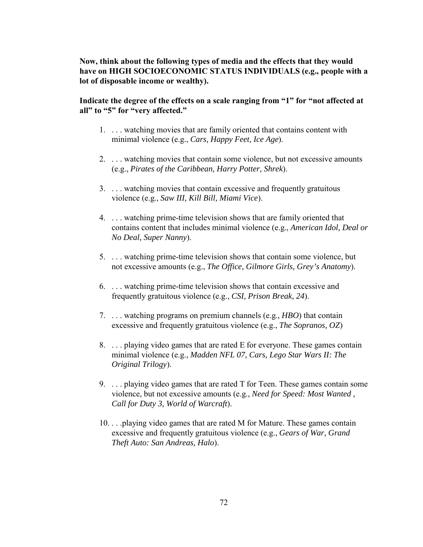**Now, think about the following types of media and the effects that they would have on HIGH SOCIOECONOMIC STATUS INDIVIDUALS (e.g., people with a lot of disposable income or wealthy).**

- 1. . . . watching movies that are family oriented that contains content with minimal violence (e.g., *Cars, Happy Feet, Ice Age*).
- 2. . . . watching movies that contain some violence, but not excessive amounts (e.g., *Pirates of the Caribbean, Harry Potter, Shrek*).
- 3. . . . watching movies that contain excessive and frequently gratuitous violence (e.g., *Saw III, Kill Bill, Miami Vice*).
- 4. . . . watching prime-time television shows that are family oriented that contains content that includes minimal violence (e.g., *American Idol, Deal or No Deal, Super Nanny*).
- 5. . . . watching prime-time television shows that contain some violence, but not excessive amounts (e.g., *The Office, Gilmore Girls, Grey's Anatomy*).
- 6. . . . watching prime-time television shows that contain excessive and frequently gratuitous violence (e.g., *CSI, Prison Break, 24*).
- 7. . . . watching programs on premium channels (e.g., *HBO*) that contain excessive and frequently gratuitous violence (e.g., *The Sopranos, OZ*)
- 8. . . . playing video games that are rated E for everyone. These games contain minimal violence (e.g., *Madden NFL 07, Cars, Lego Star Wars II: The Original Trilogy*).
- 9. . . . playing video games that are rated T for Teen. These games contain some violence, but not excessive amounts (e.g., *Need for Speed: Most Wanted , Call for Duty 3, World of Warcraft*).
- 10. . . .playing video games that are rated M for Mature. These games contain excessive and frequently gratuitous violence (e.g., *Gears of War, Grand Theft Auto: San Andreas, Halo*).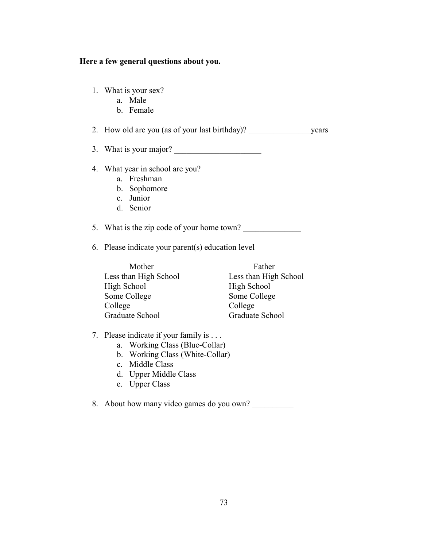#### **Here a few general questions about you.**

- 1. What is your sex?
	- a. Male
	- b. Female

2. How old are you (as of your last birthday)? years

3. What is your major?

- 4. What year in school are you?
	- a. Freshman
	- b. Sophomore
	- c. Junior
	- d. Senior

5. What is the zip code of your home town?

6. Please indicate your parent(s) education level

Mother Father Less than High School Less than High School High School High School Some College Some College College College Graduate School Graduate School

- 7. Please indicate if your family is . . .
	- a. Working Class (Blue-Collar)
	- b. Working Class (White-Collar)
	- c. Middle Class
	- d. Upper Middle Class
	- e. Upper Class

8. About how many video games do you own?